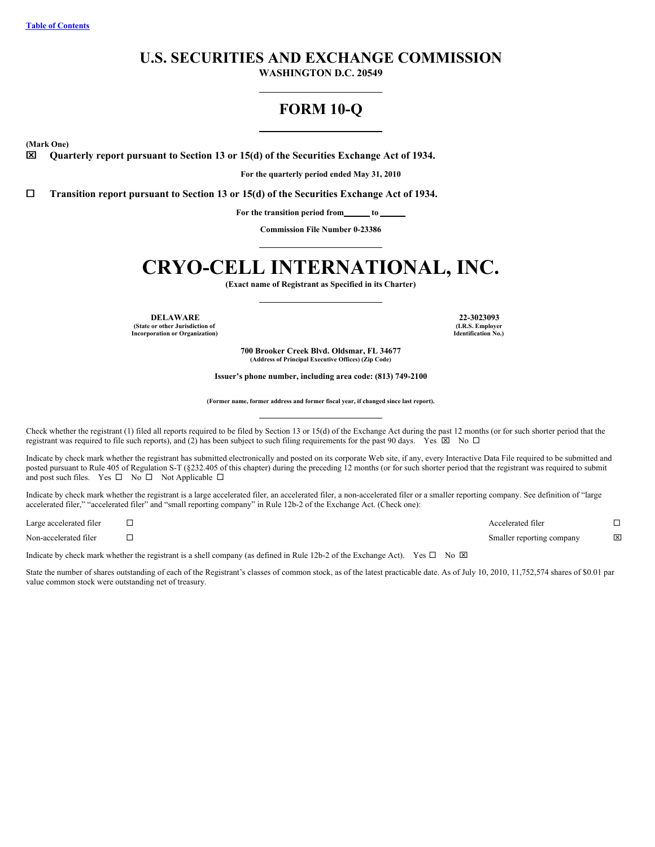# **U.S. SECURITIES AND EXCHANGE COMMISSION**

**WASHINGTON D.C. 20549**

# **FORM 10-Q**

**(Mark One)**

x **Quarterly report pursuant to Section 13 or 15(d) of the Securities Exchange Act of 1934.**

**For the quarterly period ended May 31, 2010**

¨ **Transition report pursuant to Section 13 or 15(d) of the Securities Exchange Act of 1934.**

**For the transition period from to**

**Commission File Number 0-23386**

# **CRYO-CELL INTERNATIONAL, INC.**

**(Exact name of Registrant as Specified in its Charter)**

**DELAWARE 22-3023093 (State or other Jurisdiction of Incorporation or Organization)**

**(I.R.S. Employer Identification No.)**

**700 Brooker Creek Blvd. Oldsmar, FL 34677 (Address of Principal Executive Offices) (Zip Code)**

**Issuer's phone number, including area code: (813) 749-2100**

**(Former name, former address and former fiscal year, if changed since last report).**

Check whether the registrant (1) filed all reports required to be filed by Section 13 or 15(d) of the Exchange Act during the past 12 months (or for such shorter period that the registrant was required to file such reports), and (2) has been subject to such filing requirements for the past 90 days. Yes  $\boxtimes$  No  $\Box$ 

Indicate by check mark whether the registrant has submitted electronically and posted on its corporate Web site, if any, every Interactive Data File required to be submitted and posted pursuant to Rule 405 of Regulation S-T (§232.405 of this chapter) during the preceding 12 months (or for such shorter period that the registrant was required to submit and post such files. Yes  $\square$  No  $\square$  Not Applicable  $\square$ 

Indicate by check mark whether the registrant is a large accelerated filer, an accelerated filer, a non-accelerated filer or a smaller reporting company. See definition of "large accelerated filer," "accelerated filer" and "small reporting company" in Rule 12b-2 of the Exchange Act. (Check one):

Large accelerated filer  $\Box$ Non-accelerated filer ¨ Smaller reporting company x

Indicate by check mark whether the registrant is a shell company (as defined in Rule 12b-2 of the Exchange Act). Yes  $\Box$  No  $\boxtimes$ 

State the number of shares outstanding of each of the Registrant's classes of common stock, as of the latest practicable date. As of July 10, 2010, 11,752,574 shares of \$0.01 par value common stock were outstanding net of treasury.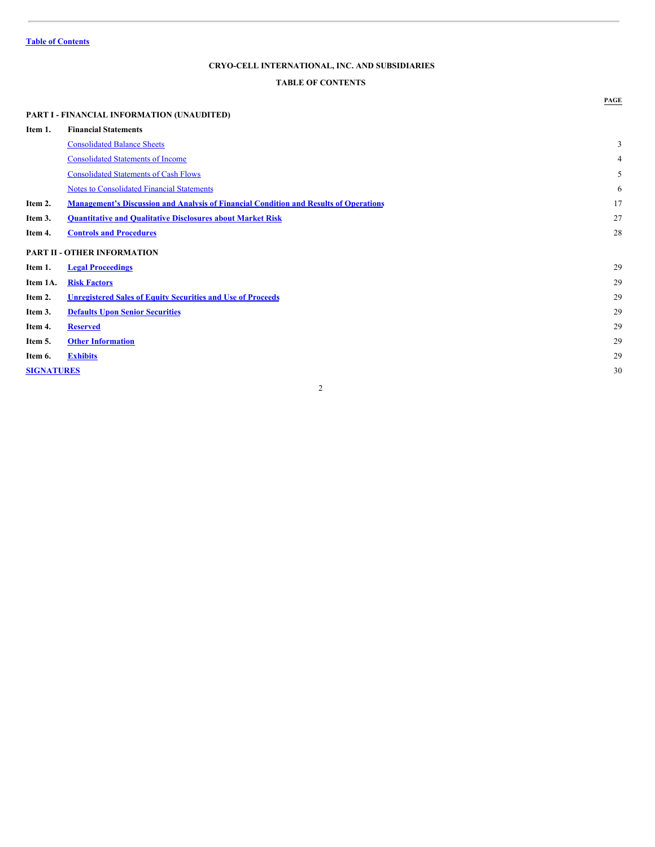# <span id="page-1-0"></span>**TABLE OF CONTENTS**

# **PART I - FINANCIAL INFORMATION (UNAUDITED) Item 1. Financial Statements** [Consolidated](#page-2-0) Balance Sheets 3 [Consolidated](#page-3-0) Statements of Income 4 [Consolidated](#page-4-0) Statements of Cash Flows 5 Notes to [Consolidated](#page-5-0) Financial Statements 6 **Item 2. [Management's](#page-16-0) Discussion and Analysis of Financial Condition and Results of Operations** 17 **Item 3. [Quantitative](#page-26-0) and Qualitative Disclosures about Market Risk** 27 **Item 4. Controls and [Procedures](#page-27-0)** 28 **PART II - OTHER INFORMATION Item 1. Legal [Proceedings](#page-28-0)** 29 **Item 1A. Risk [Factors](#page-28-1)** 29 **Item 2. [Unregistered](#page-28-2) Sales of Equity Securities and Use of Proceeds** 29 **Item 3. Defaults Upon Senior [Securities](#page-28-3)** 29 **Item 4. [Reserved](#page-28-4)** 29 **Item 5. Other [Information](#page-28-5)** 29 **Item 6. [Exhibits](#page-29-0)** 29 **[SIGNATURES](#page-30-0)** 30

2

**PAGE**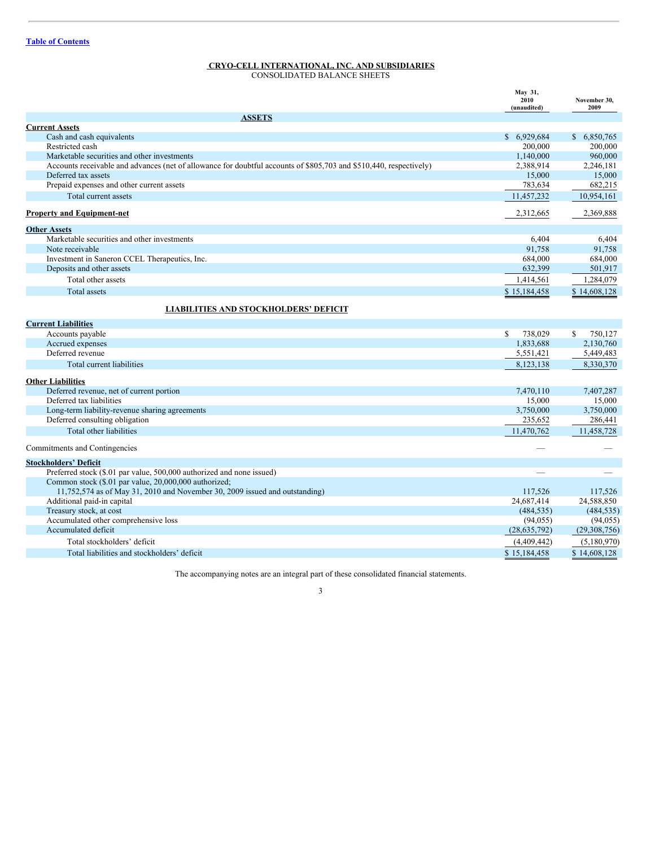<span id="page-2-0"></span>CONSOLIDATED BALANCE SHEETS

|                                                                                                                                      | May 31,<br>2010<br>(unaudited) | November 30,<br>2009 |
|--------------------------------------------------------------------------------------------------------------------------------------|--------------------------------|----------------------|
| <b>ASSETS</b>                                                                                                                        |                                |                      |
| <b>Current Assets</b>                                                                                                                |                                |                      |
| Cash and cash equivalents                                                                                                            | \$6,929,684                    | \$6,850,765          |
| Restricted cash                                                                                                                      | 200,000                        | 200,000              |
| Marketable securities and other investments                                                                                          | 1,140,000                      | 960,000              |
| Accounts receivable and advances (net of allowance for doubtful accounts of \$805,703 and \$510,440, respectively)                   | 2,388,914                      | 2,246,181            |
| Deferred tax assets                                                                                                                  | 15,000                         | 15,000               |
| Prepaid expenses and other current assets                                                                                            | 783,634                        | 682,215              |
| Total current assets                                                                                                                 | 11,457,232                     | 10,954,161           |
| <b>Property and Equipment-net</b>                                                                                                    | 2,312,665                      | 2,369,888            |
| <b>Other Assets</b>                                                                                                                  |                                |                      |
| Marketable securities and other investments                                                                                          | 6,404                          | 6,404                |
| Note receivable                                                                                                                      | 91,758                         | 91,758               |
| Investment in Saneron CCEL Therapeutics, Inc.                                                                                        | 684,000                        | 684,000              |
| Deposits and other assets                                                                                                            | 632,399                        | 501,917              |
| Total other assets                                                                                                                   | 1,414,561                      | 1,284,079            |
| Total assets                                                                                                                         | \$15,184,458                   | \$14,608,128         |
| <b>LIABILITIES AND STOCKHOLDERS' DEFICIT</b>                                                                                         |                                |                      |
| <b>Current Liabilities</b>                                                                                                           |                                |                      |
| Accounts payable                                                                                                                     | 738,029<br>\$.                 | 750.127<br>\$.       |
| Accrued expenses                                                                                                                     | 1,833,688                      | 2,130,760            |
| Deferred revenue                                                                                                                     | 5,551,421                      | 5,449,483            |
| Total current liabilities                                                                                                            | 8,123,138                      | 8,330,370            |
| <b>Other Liabilities</b>                                                                                                             |                                |                      |
| Deferred revenue, net of current portion                                                                                             | 7,470,110                      | 7,407,287            |
| Deferred tax liabilities                                                                                                             | 15,000                         | 15,000               |
| Long-term liability-revenue sharing agreements                                                                                       | 3,750,000                      | 3,750,000            |
| Deferred consulting obligation                                                                                                       | 235,652                        | 286,441              |
| Total other liabilities                                                                                                              | 11,470,762                     | 11,458,728           |
| Commitments and Contingencies                                                                                                        |                                |                      |
| <b>Stockholders' Deficit</b>                                                                                                         |                                |                      |
| Preferred stock (\$.01 par value, 500,000 authorized and none issued)                                                                |                                |                      |
| Common stock (\$.01 par value, 20,000,000 authorized;<br>11,752,574 as of May 31, 2010 and November 30, 2009 issued and outstanding) | 117,526                        | 117.526              |
| Additional paid-in capital                                                                                                           | 24,687,414                     | 24,588,850           |
| Treasury stock, at cost                                                                                                              | (484, 535)                     | (484, 535)           |
| Accumulated other comprehensive loss                                                                                                 | (94, 055)                      | (94, 055)            |
| Accumulated deficit                                                                                                                  | (28, 635, 792)                 | (29,308,756)         |
| Total stockholders' deficit                                                                                                          | (4,409,442)                    | (5,180,970)          |
| Total liabilities and stockholders' deficit                                                                                          | \$15,184,458                   | \$14,608,128         |
|                                                                                                                                      |                                |                      |

The accompanying notes are an integral part of these consolidated financial statements.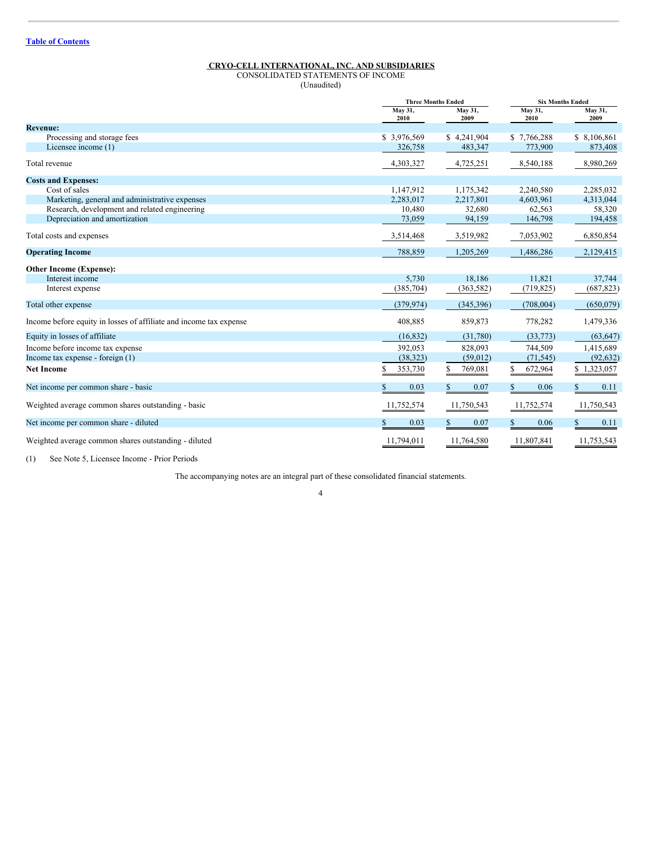<span id="page-3-0"></span>CONSOLIDATED STATEMENTS OF INCOME (Unaudited)

|                                                                    |                 | <b>Three Months Ended</b> | <b>Six Months Ended</b> |                 |
|--------------------------------------------------------------------|-----------------|---------------------------|-------------------------|-----------------|
|                                                                    | May 31,<br>2010 | May 31,<br>2009           | May 31,<br>2010         | May 31,<br>2009 |
| <b>Revenue:</b>                                                    |                 |                           |                         |                 |
| Processing and storage fees                                        | \$3,976,569     | \$4,241,904               | \$7,766,288             | \$ 8,106,861    |
| Licensee income (1)                                                | 326,758         | 483,347                   | 773,900                 | 873,408         |
| Total revenue                                                      | 4,303,327       | 4,725,251                 | 8,540,188               | 8,980,269       |
| <b>Costs and Expenses:</b>                                         |                 |                           |                         |                 |
| Cost of sales                                                      | 1,147,912       | 1,175,342                 | 2,240,580               | 2,285,032       |
| Marketing, general and administrative expenses                     | 2,283,017       | 2,217,801                 | 4,603,961               | 4,313,044       |
| Research, development and related engineering                      | 10,480          | 32,680                    | 62,563                  | 58,320          |
| Depreciation and amortization                                      | 73,059          | 94,159                    | 146,798                 | 194,458         |
| Total costs and expenses                                           | 3,514,468       | 3,519,982                 | 7,053,902               | 6,850,854       |
| <b>Operating Income</b>                                            | 788,859         | 1,205,269                 | 1,486,286               | 2,129,415       |
| <b>Other Income (Expense):</b>                                     |                 |                           |                         |                 |
| Interest income                                                    | 5,730           | 18,186                    | 11,821                  | 37,744          |
| Interest expense                                                   | (385, 704)      | (363, 582)                | (719, 825)              | (687, 823)      |
| Total other expense                                                | (379, 974)      | (345,396)                 | (708,004)               | (650, 079)      |
| Income before equity in losses of affiliate and income tax expense | 408,885         | 859,873                   | 778,282                 | 1,479,336       |
| Equity in losses of affiliate                                      | (16, 832)       | (31,780)                  | (33,773)                | (63, 647)       |
| Income before income tax expense                                   | 392,053         | 828,093                   | 744,509                 | 1,415,689       |
| Income tax expense - foreign $(1)$                                 | (38, 323)       | (59,012)                  | (71, 545)               | (92, 632)       |
| <b>Net Income</b>                                                  | S<br>353,730    | S<br>769,081              | 672,964                 | \$1,323,057     |
| Net income per common share - basic                                | 0.03            | 0.07                      | 0.06<br>\$.             | 0.11<br>\$.     |
| Weighted average common shares outstanding - basic                 | 11,752,574      | 11,750,543                | 11,752,574              | 11,750,543      |
| Net income per common share - diluted                              | 0.03            | 0.07                      | 0.06                    | 0.11            |
| Weighted average common shares outstanding - diluted               | 11,794,011      | 11,764,580                | 11,807,841              | 11,753,543      |

(1) See Note 5, Licensee Income - Prior Periods

The accompanying notes are an integral part of these consolidated financial statements.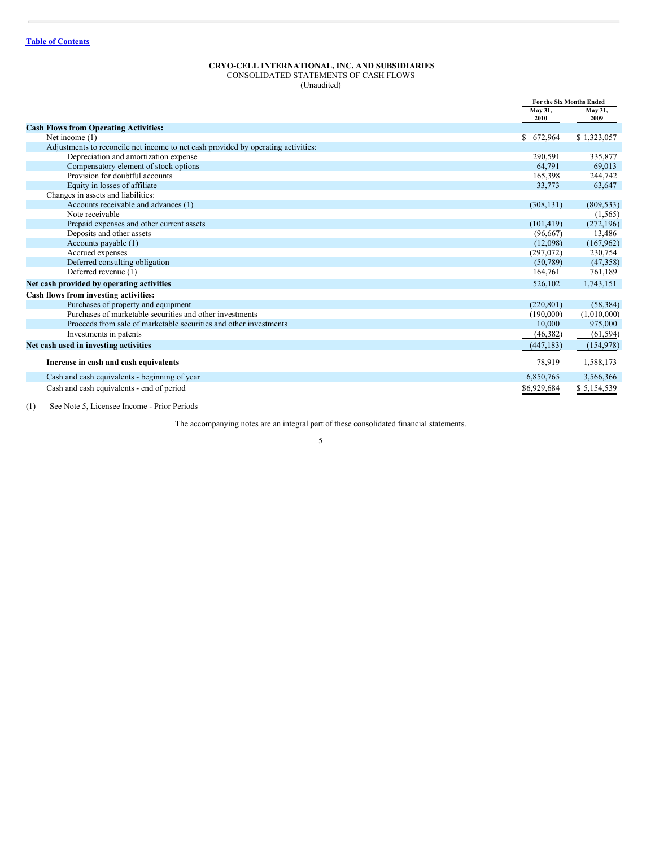<span id="page-4-0"></span>CONSOLIDATED STATEMENTS OF CASH FLOWS  $(U<sub>1</sub>)$ 

| Unaudited) |  |  |
|------------|--|--|
|------------|--|--|

|                                                                                   |                 | <b>For the Six Months Ended</b> |
|-----------------------------------------------------------------------------------|-----------------|---------------------------------|
|                                                                                   | May 31,<br>2010 | May 31,<br>2009                 |
| <b>Cash Flows from Operating Activities:</b>                                      |                 |                                 |
| Net income (1)                                                                    | \$672,964       | \$1,323,057                     |
| Adjustments to reconcile net income to net cash provided by operating activities: |                 |                                 |
| Depreciation and amortization expense                                             | 290,591         | 335,877                         |
| Compensatory element of stock options                                             | 64.791          | 69,013                          |
| Provision for doubtful accounts                                                   | 165,398         | 244,742                         |
| Equity in losses of affiliate                                                     | 33,773          | 63,647                          |
| Changes in assets and liabilities:                                                |                 |                                 |
| Accounts receivable and advances (1)                                              | (308, 131)      | (809, 533)                      |
| Note receivable                                                                   |                 | (1, 565)                        |
| Prepaid expenses and other current assets                                         | (101, 419)      | (272, 196)                      |
| Deposits and other assets                                                         | (96,667)        | 13,486                          |
| Accounts payable (1)                                                              | (12,098)        | (167, 962)                      |
| Accrued expenses                                                                  | (297,072)       | 230,754                         |
| Deferred consulting obligation                                                    | (50, 789)       | (47, 358)                       |
| Deferred revenue (1)                                                              | 164,761         | 761,189                         |
| Net cash provided by operating activities                                         | 526,102         | 1,743,151                       |
| Cash flows from investing activities:                                             |                 |                                 |
| Purchases of property and equipment                                               | (220, 801)      | (58, 384)                       |
| Purchases of marketable securities and other investments                          | (190,000)       | (1,010,000)                     |
| Proceeds from sale of marketable securities and other investments                 | 10,000          | 975,000                         |
| Investments in patents                                                            | (46, 382)       | (61, 594)                       |
| Net cash used in investing activities                                             | (447, 183)      | (154, 978)                      |
| Increase in cash and cash equivalents                                             | 78,919          | 1,588,173                       |
| Cash and cash equivalents - beginning of year                                     | 6,850,765       | 3,566,366                       |
| Cash and cash equivalents - end of period                                         | \$6,929,684     | \$5,154,539                     |

(1) See Note 5, Licensee Income - Prior Periods

The accompanying notes are an integral part of these consolidated financial statements.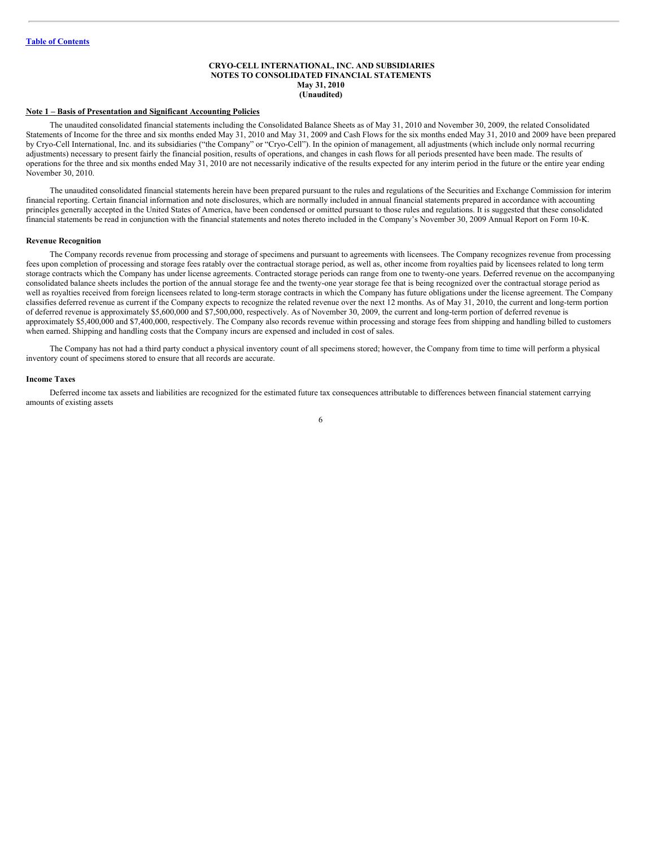#### <span id="page-5-0"></span>**CRYO-CELL INTERNATIONAL, INC. AND SUBSIDIARIES NOTES TO CONSOLIDATED FINANCIAL STATEMENTS May 31, 2010 (Unaudited)**

#### **Note 1 – Basis of Presentation and Significant Accounting Policies**

The unaudited consolidated financial statements including the Consolidated Balance Sheets as of May 31, 2010 and November 30, 2009, the related Consolidated Statements of Income for the three and six months ended May 31, 2010 and May 31, 2009 and Cash Flows for the six months ended May 31, 2010 and 2009 have been prepared by Cryo-Cell International, Inc. and its subsidiaries ("the Company" or "Cryo-Cell"). In the opinion of management, all adjustments (which include only normal recurring adjustments) necessary to present fairly the financial position, results of operations, and changes in cash flows for all periods presented have been made. The results of operations for the three and six months ended May 31, 2010 are not necessarily indicative of the results expected for any interim period in the future or the entire year ending November 30, 2010.

The unaudited consolidated financial statements herein have been prepared pursuant to the rules and regulations of the Securities and Exchange Commission for interim financial reporting. Certain financial information and note disclosures, which are normally included in annual financial statements prepared in accordance with accounting principles generally accepted in the United States of America, have been condensed or omitted pursuant to those rules and regulations. It is suggested that these consolidated financial statements be read in conjunction with the financial statements and notes thereto included in the Company's November 30, 2009 Annual Report on Form 10-K.

#### **Revenue Recognition**

The Company records revenue from processing and storage of specimens and pursuant to agreements with licensees. The Company recognizes revenue from processing fees upon completion of processing and storage fees ratably over the contractual storage period, as well as, other income from royalties paid by licensees related to long term storage contracts which the Company has under license agreements. Contracted storage periods can range from one to twenty-one years. Deferred revenue on the accompanying consolidated balance sheets includes the portion of the annual storage fee and the twenty-one year storage fee that is being recognized over the contractual storage period as well as royalties received from foreign licensees related to long-term storage contracts in which the Company has future obligations under the license agreement. The Company classifies deferred revenue as current if the Company expects to recognize the related revenue over the next 12 months. As of May 31, 2010, the current and long-term portion of deferred revenue is approximately \$5,600,000 and \$7,500,000, respectively. As of November 30, 2009, the current and long-term portion of deferred revenue is approximately \$5,400,000 and \$7,400,000, respectively. The Company also records revenue within processing and storage fees from shipping and handling billed to customers when earned. Shipping and handling costs that the Company incurs are expensed and included in cost of sales.

The Company has not had a third party conduct a physical inventory count of all specimens stored; however, the Company from time to time will perform a physical inventory count of specimens stored to ensure that all records are accurate.

#### **Income Taxes**

Deferred income tax assets and liabilities are recognized for the estimated future tax consequences attributable to differences between financial statement carrying amounts of existing assets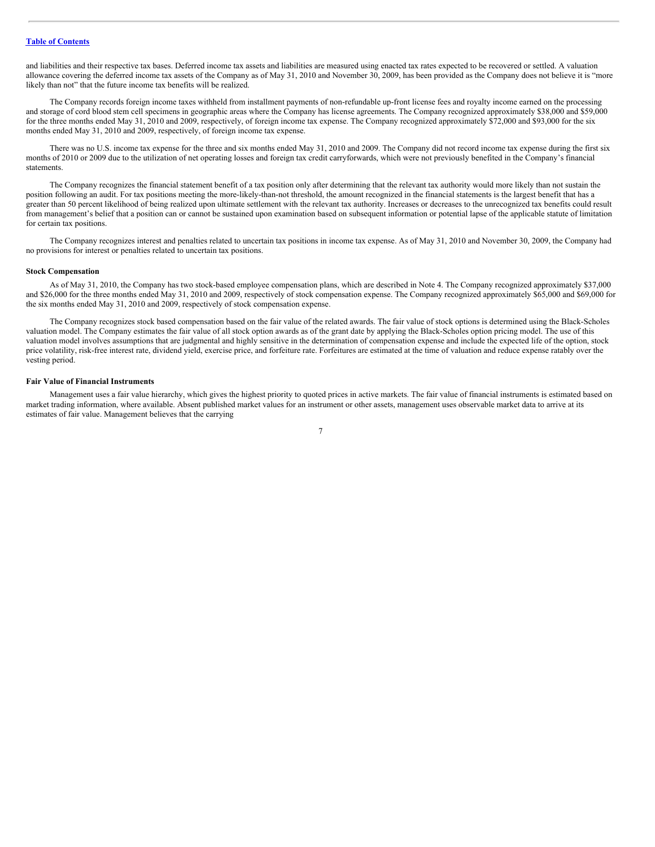and liabilities and their respective tax bases. Deferred income tax assets and liabilities are measured using enacted tax rates expected to be recovered or settled. A valuation allowance covering the deferred income tax assets of the Company as of May 31, 2010 and November 30, 2009, has been provided as the Company does not believe it is "more likely than not" that the future income tax benefits will be realized.

The Company records foreign income taxes withheld from installment payments of non-refundable up-front license fees and royalty income earned on the processing and storage of cord blood stem cell specimens in geographic areas where the Company has license agreements. The Company recognized approximately \$38,000 and \$59,000 for the three months ended May 31, 2010 and 2009, respectively, of foreign income tax expense. The Company recognized approximately \$72,000 and \$93,000 for the six months ended May 31, 2010 and 2009, respectively, of foreign income tax expense.

There was no U.S. income tax expense for the three and six months ended May 31, 2010 and 2009. The Company did not record income tax expense during the first six months of 2010 or 2009 due to the utilization of net operating losses and foreign tax credit carryforwards, which were not previously benefited in the Company's financial statements.

The Company recognizes the financial statement benefit of a tax position only after determining that the relevant tax authority would more likely than not sustain the position following an audit. For tax positions meeting the more-likely-than-not threshold, the amount recognized in the financial statements is the largest benefit that has a greater than 50 percent likelihood of being realized upon ultimate settlement with the relevant tax authority. Increases or decreases to the unrecognized tax benefits could result from management's belief that a position can or cannot be sustained upon examination based on subsequent information or potential lapse of the applicable statute of limitation for certain tax positions.

The Company recognizes interest and penalties related to uncertain tax positions in income tax expense. As of May 31, 2010 and November 30, 2009, the Company had no provisions for interest or penalties related to uncertain tax positions.

#### **Stock Compensation**

As of May 31, 2010, the Company has two stock-based employee compensation plans, which are described in Note 4. The Company recognized approximately \$37,000 and \$26,000 for the three months ended May 31, 2010 and 2009, respectively of stock compensation expense. The Company recognized approximately \$65,000 and \$69,000 for the six months ended May 31, 2010 and 2009, respectively of stock compensation expense.

The Company recognizes stock based compensation based on the fair value of the related awards. The fair value of stock options is determined using the Black-Scholes valuation model. The Company estimates the fair value of all stock option awards as of the grant date by applying the Black-Scholes option pricing model. The use of this valuation model involves assumptions that are judgmental and highly sensitive in the determination of compensation expense and include the expected life of the option, stock price volatility, risk-free interest rate, dividend yield, exercise price, and forfeiture rate. Forfeitures are estimated at the time of valuation and reduce expense ratably over the vesting period.

#### **Fair Value of Financial Instruments**

Management uses a fair value hierarchy, which gives the highest priority to quoted prices in active markets. The fair value of financial instruments is estimated based on market trading information, where available. Absent published market values for an instrument or other assets, management uses observable market data to arrive at its estimates of fair value. Management believes that the carrying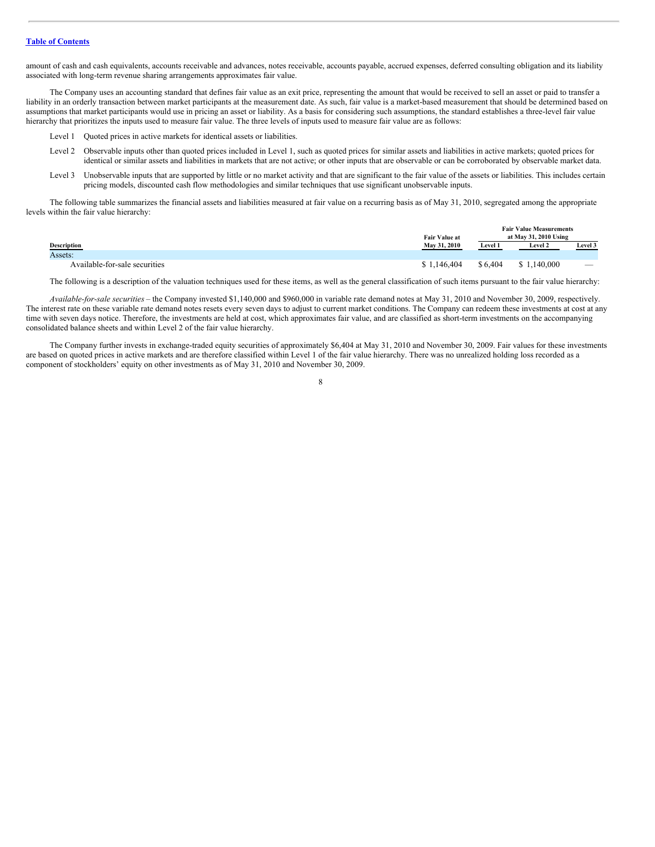amount of cash and cash equivalents, accounts receivable and advances, notes receivable, accounts payable, accrued expenses, deferred consulting obligation and its liability associated with long-term revenue sharing arrangements approximates fair value.

The Company uses an accounting standard that defines fair value as an exit price, representing the amount that would be received to sell an asset or paid to transfer a liability in an orderly transaction between market participants at the measurement date. As such, fair value is a market-based measurement that should be determined based on assumptions that market participants would use in pricing an asset or liability. As a basis for considering such assumptions, the standard establishes a three-level fair value hierarchy that prioritizes the inputs used to measure fair value. The three levels of inputs used to measure fair value are as follows:

- Level 1 Quoted prices in active markets for identical assets or liabilities.
- Level 2 Observable inputs other than quoted prices included in Level 1, such as quoted prices for similar assets and liabilities in active markets; quoted prices for identical or similar assets and liabilities in markets that are not active; or other inputs that are observable or can be corroborated by observable market data.
- Level 3 Unobservable inputs that are supported by little or no market activity and that are significant to the fair value of the assets or liabilities. This includes certain pricing models, discounted cash flow methodologies and similar techniques that use significant unobservable inputs.

The following table summarizes the financial assets and liabilities measured at fair value on a recurring basis as of May 31, 2010, segregated among the appropriate levels within the fair value hierarchy:

|                               |                      | <b>Fair Value Measurements</b> |                       |                          |  |
|-------------------------------|----------------------|--------------------------------|-----------------------|--------------------------|--|
|                               | <b>Fair Value at</b> |                                | at May 31, 2010 Using |                          |  |
| <b>Description</b>            | May 31, 2010         | <b>Level 1</b>                 | <b>Level 2</b>        | <b>Level 3</b>           |  |
| Assets:                       |                      |                                |                       |                          |  |
| Available-for-sale securities | 1.146.404            | \$6.404                        | 1.140.000<br>\$       | $\overline{\phantom{a}}$ |  |

The following is a description of the valuation techniques used for these items, as well as the general classification of such items pursuant to the fair value hierarchy:

*Available-for-sale securities* – the Company invested \$1,140,000 and \$960,000 in variable rate demand notes at May 31, 2010 and November 30, 2009, respectively. The interest rate on these variable rate demand notes resets every seven days to adjust to current market conditions. The Company can redeem these investments at cost at any time with seven days notice. Therefore, the investments are held at cost, which approximates fair value, and are classified as short-term investments on the accompanying consolidated balance sheets and within Level 2 of the fair value hierarchy.

The Company further invests in exchange-traded equity securities of approximately \$6,404 at May 31, 2010 and November 30, 2009. Fair values for these investments are based on quoted prices in active markets and are therefore classified within Level 1 of the fair value hierarchy. There was no unrealized holding loss recorded as a component of stockholders' equity on other investments as of May 31, 2010 and November 30, 2009.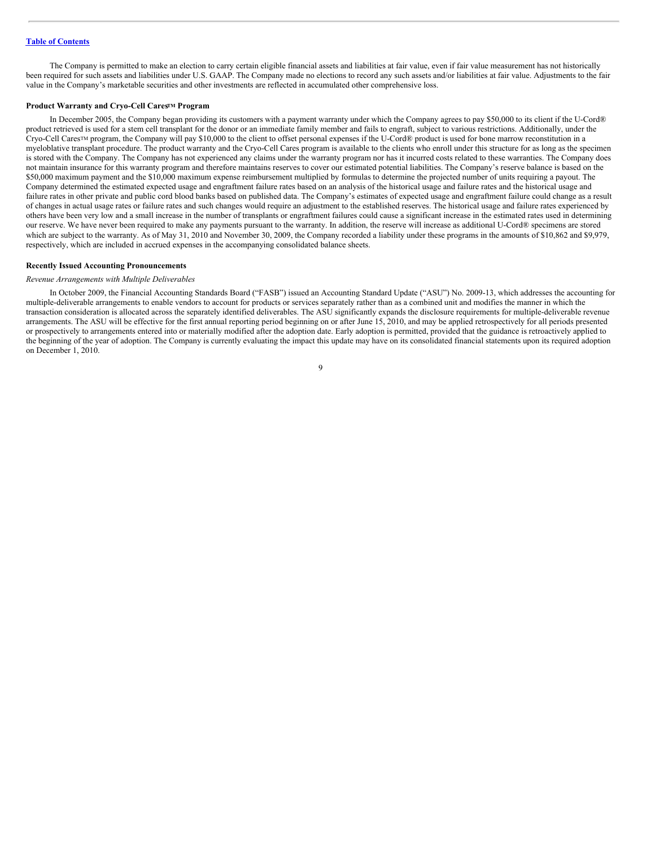The Company is permitted to make an election to carry certain eligible financial assets and liabilities at fair value, even if fair value measurement has not historically been required for such assets and liabilities under U.S. GAAP. The Company made no elections to record any such assets and/or liabilities at fair value. Adjustments to the fair value in the Company's marketable securities and other investments are reflected in accumulated other comprehensive loss.

#### **Product Warranty and Cryo-Cell Cares<sup>TM</sup> Program**

In December 2005, the Company began providing its customers with a payment warranty under which the Company agrees to pay \$50,000 to its client if the U-Cord® product retrieved is used for a stem cell transplant for the donor or an immediate family member and fails to engraft, subject to various restrictions. Additionally, under the Cryo-Cell Cares™ program, the Company will pay \$10,000 to the client to offset personal expenses if the U-Cord® product is used for bone marrow reconstitution in a myeloblative transplant procedure. The product warranty and the Cryo-Cell Cares program is available to the clients who enroll under this structure for as long as the specimen is stored with the Company. The Company has not experienced any claims under the warranty program nor has it incurred costs related to these warranties. The Company does not maintain insurance for this warranty program and therefore maintains reserves to cover our estimated potential liabilities. The Company's reserve balance is based on the \$50,000 maximum payment and the \$10,000 maximum expense reimbursement multiplied by formulas to determine the projected number of units requiring a payout. The Company determined the estimated expected usage and engraftment failure rates based on an analysis of the historical usage and failure rates and the historical usage and failure rates in other private and public cord blood banks based on published data. The Company's estimates of expected usage and engraftment failure could change as a result of changes in actual usage rates or failure rates and such changes would require an adjustment to the established reserves. The historical usage and failure rates experienced by others have been very low and a small increase in the number of transplants or engraftment failures could cause a significant increase in the estimated rates used in determining our reserve. We have never been required to make any payments pursuant to the warranty. In addition, the reserve will increase as additional U-Cord® specimens are stored which are subject to the warranty. As of May 31, 2010 and November 30, 2009, the Company recorded a liability under these programs in the amounts of \$10,862 and \$9,979, respectively, which are included in accrued expenses in the accompanying consolidated balance sheets.

# **Recently Issued Accounting Pronouncements**

#### *Revenue Arrangements with Multiple Deliverables*

In October 2009, the Financial Accounting Standards Board ("FASB") issued an Accounting Standard Update ("ASU") No. 2009-13, which addresses the accounting for multiple-deliverable arrangements to enable vendors to account for products or services separately rather than as a combined unit and modifies the manner in which the transaction consideration is allocated across the separately identified deliverables. The ASU significantly expands the disclosure requirements for multiple-deliverable revenue arrangements. The ASU will be effective for the first annual reporting period beginning on or after June 15, 2010, and may be applied retrospectively for all periods presented or prospectively to arrangements entered into or materially modified after the adoption date. Early adoption is permitted, provided that the guidance is retroactively applied to the beginning of the year of adoption. The Company is currently evaluating the impact this update may have on its consolidated financial statements upon its required adoption on December 1, 2010.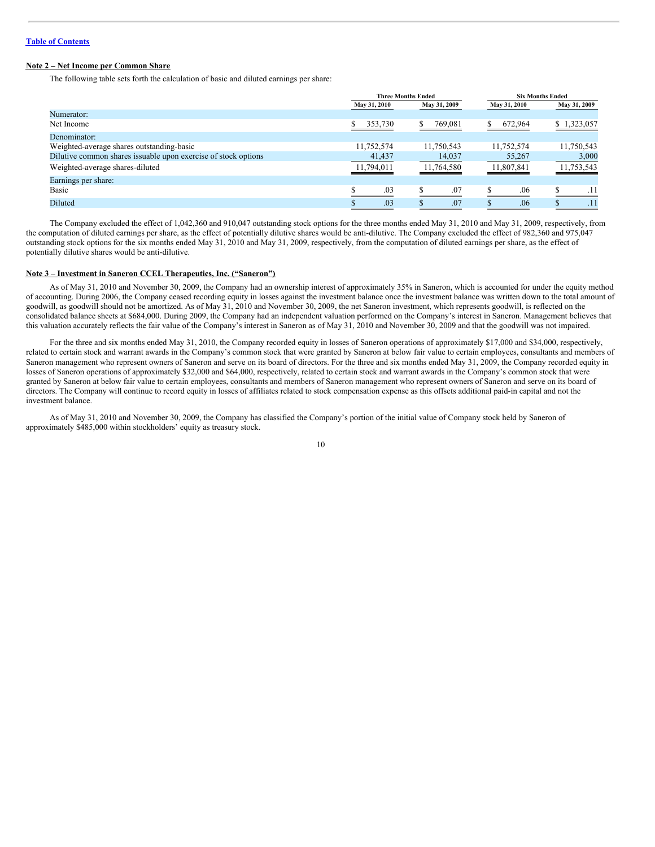# **Note 2 – Net Income per Common Share**

The following table sets forth the calculation of basic and diluted earnings per share:

|                                                                |              | <b>Three Months Ended</b> |              | <b>Six Months Ended</b> |  |
|----------------------------------------------------------------|--------------|---------------------------|--------------|-------------------------|--|
|                                                                | May 31, 2010 | May 31, 2009              | May 31, 2010 | May 31, 2009            |  |
| Numerator:                                                     |              |                           |              |                         |  |
| Net Income                                                     | 353,730      | 769,081                   | 672,964      | \$1,323,057             |  |
| Denominator:                                                   |              |                           |              |                         |  |
| Weighted-average shares outstanding-basic                      | 11,752,574   | 11,750,543                | 11,752,574   | 11,750,543              |  |
| Dilutive common shares issuable upon exercise of stock options | 41,437       | 14,037                    | 55,267       | 3,000                   |  |
| Weighted-average shares-diluted                                | 11,794,011   | 11,764,580                | 11,807,841   | 11,753,543              |  |
| Earnings per share:                                            |              |                           |              |                         |  |
| Basic                                                          | .03          | .07                       | .06          |                         |  |
| Diluted                                                        | .03          | .07                       | .06          | .11                     |  |

The Company excluded the effect of 1,042,360 and 910,047 outstanding stock options for the three months ended May 31, 2010 and May 31, 2009, respectively, from the computation of diluted earnings per share, as the effect of potentially dilutive shares would be anti-dilutive. The Company excluded the effect of 982,360 and 975,047 outstanding stock options for the six months ended May 31, 2010 and May 31, 2009, respectively, from the computation of diluted earnings per share, as the effect of potentially dilutive shares would be anti-dilutive.

#### **Note 3 – Investment in Saneron CCEL Therapeutics, Inc. ("Saneron")**

As of May 31, 2010 and November 30, 2009, the Company had an ownership interest of approximately 35% in Saneron, which is accounted for under the equity method of accounting. During 2006, the Company ceased recording equity in losses against the investment balance once the investment balance was written down to the total amount of goodwill, as goodwill should not be amortized. As of May 31, 2010 and November 30, 2009, the net Saneron investment, which represents goodwill, is reflected on the consolidated balance sheets at \$684,000. During 2009, the Company had an independent valuation performed on the Company's interest in Saneron. Management believes that this valuation accurately reflects the fair value of the Company's interest in Saneron as of May 31, 2010 and November 30, 2009 and that the goodwill was not impaired.

For the three and six months ended May 31, 2010, the Company recorded equity in losses of Saneron operations of approximately \$17,000 and \$34,000, respectively, related to certain stock and warrant awards in the Company's common stock that were granted by Saneron at below fair value to certain employees, consultants and members of Saneron management who represent owners of Saneron and serve on its board of directors. For the three and six months ended May 31, 2009, the Company recorded equity in losses of Saneron operations of approximately \$32,000 and \$64,000, respectively, related to certain stock and warrant awards in the Company's common stock that were granted by Saneron at below fair value to certain employees, consultants and members of Saneron management who represent owners of Saneron and serve on its board of directors. The Company will continue to record equity in losses of affiliates related to stock compensation expense as this offsets additional paid-in capital and not the investment balance.

As of May 31, 2010 and November 30, 2009, the Company has classified the Company's portion of the initial value of Company stock held by Saneron of approximately \$485,000 within stockholders' equity as treasury stock.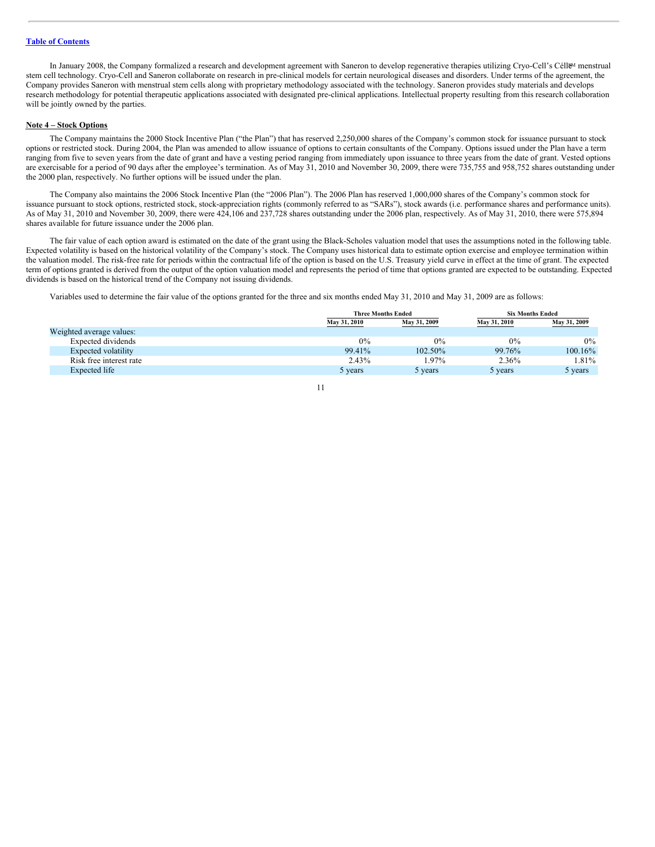In January 2008, the Company formalized a research and development agreement with Saneron to develop regenerative therapies utilizing Cryo-Cell's Céll&M menstrual stem cell technology. Cryo-Cell and Saneron collaborate on research in pre-clinical models for certain neurological diseases and disorders. Under terms of the agreement, the Company provides Saneron with menstrual stem cells along with proprietary methodology associated with the technology. Saneron provides study materials and develops research methodology for potential therapeutic applications associated with designated pre-clinical applications. Intellectual property resulting from this research collaboration will be jointly owned by the parties.

#### **Note 4 – Stock Options**

The Company maintains the 2000 Stock Incentive Plan ("the Plan") that has reserved 2,250,000 shares of the Company's common stock for issuance pursuant to stock options or restricted stock. During 2004, the Plan was amended to allow issuance of options to certain consultants of the Company. Options issued under the Plan have a term ranging from five to seven years from the date of grant and have a vesting period ranging from immediately upon issuance to three years from the date of grant. Vested options are exercisable for a period of 90 days after the employee's termination. As of May 31, 2010 and November 30, 2009, there were 735,755 and 958,752 shares outstanding under the 2000 plan, respectively. No further options will be issued under the plan.

The Company also maintains the 2006 Stock Incentive Plan (the "2006 Plan"). The 2006 Plan has reserved 1,000,000 shares of the Company's common stock for issuance pursuant to stock options, restricted stock, stock-appreciation rights (commonly referred to as "SARs"), stock awards (i.e. performance shares and performance units). As of May 31, 2010 and November 30, 2009, there were 424,106 and 237,728 shares outstanding under the 2006 plan, respectively. As of May 31, 2010, there were 575,894 shares available for future issuance under the 2006 plan.

The fair value of each option award is estimated on the date of the grant using the Black-Scholes valuation model that uses the assumptions noted in the following table. Expected volatility is based on the historical volatility of the Company's stock. The Company uses historical data to estimate option exercise and employee termination within the valuation model. The risk-free rate for periods within the contractual life of the option is based on the U.S. Treasury yield curve in effect at the time of grant. The expected term of options granted is derived from the output of the option valuation model and represents the period of time that options granted are expected to be outstanding. Expected dividends is based on the historical trend of the Company not issuing dividends.

Variables used to determine the fair value of the options granted for the three and six months ended May 31, 2010 and May 31, 2009 are as follows:

|                          |              | <b>Three Months Ended</b> |              | <b>Six Months Ended</b> |
|--------------------------|--------------|---------------------------|--------------|-------------------------|
|                          | May 31, 2010 | May 31, 2009              | May 31, 2010 | May 31, 2009            |
| Weighted average values: |              |                           |              |                         |
| Expected dividends       | $0\%$        | 0%                        | $0\%$        | $0\%$                   |
| Expected volatility      | 99.41%       | 102.50%                   | 99.76%       | $100.16\%$              |
| Risk free interest rate  | 2.43%        | 1.97%                     | 2.36%        | 1.81%                   |
| Expected life            | 5 years      | 5 years                   | 5 years      | 5 years                 |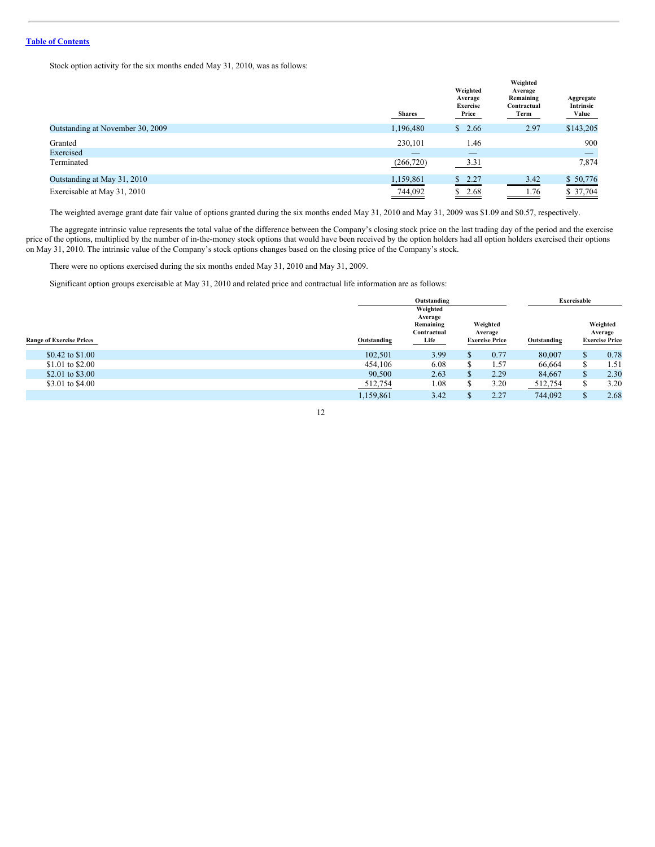Stock option activity for the six months ended May 31, 2010, was as follows:

|                                  | <b>Shares</b> | Weighted<br>Average<br><b>Exercise</b><br>Price | Weighted<br>Average<br>Remaining<br>Contractual<br>Term | Aggregate<br>Intrinsic<br>Value |
|----------------------------------|---------------|-------------------------------------------------|---------------------------------------------------------|---------------------------------|
| Outstanding at November 30, 2009 | 1,196,480     | \$<br>2.66                                      | 2.97                                                    | \$143,205                       |
| Granted                          | 230,101       | 1.46                                            |                                                         | 900                             |
| Exercised                        |               | _                                               |                                                         | _                               |
| Terminated                       | (266, 720)    | 3.31                                            |                                                         | 7,874                           |
| Outstanding at May 31, 2010      | 1,159,861     | \$2.27                                          | 3.42                                                    | \$50,776                        |
| Exercisable at May 31, 2010      | 744,092       | \$2.68                                          | 1.76<br>_______                                         | \$37,704                        |

The weighted average grant date fair value of options granted during the six months ended May 31, 2010 and May 31, 2009 was \$1.09 and \$0.57, respectively.

The aggregate intrinsic value represents the total value of the difference between the Company's closing stock price on the last trading day of the period and the exercise price of the options, multiplied by the number of in-the-money stock options that would have been received by the option holders had all option holders exercised their options on May 31, 2010. The intrinsic value of the Company's stock options changes based on the closing price of the Company's stock.

There were no options exercised during the six months ended May 31, 2010 and May 31, 2009.

Significant option groups exercisable at May 31, 2010 and related price and contractual life information are as follows:

|                                 | Outstanding                                                                                                            |                 | Exercisable |                                              |  |
|---------------------------------|------------------------------------------------------------------------------------------------------------------------|-----------------|-------------|----------------------------------------------|--|
| <b>Range of Exercise Prices</b> | Weighted<br>Average<br>Weighted<br>Remaining<br>Contractual<br>Average<br>Life<br><b>Exercise Price</b><br>Outstanding | Outstanding     |             | Weighted<br>Average<br><b>Exercise Price</b> |  |
| \$0.42 to \$1.00                | 3.99<br>102,501<br>æ                                                                                                   | 80,007<br>0.77  | \$.         | 0.78                                         |  |
| \$1.01 to \$2.00                | 6.08<br>454,106<br>۰Δ                                                                                                  | . 57<br>66,664  |             | 1.51                                         |  |
| \$2.01 to \$3.00                | 2.63<br>90,500<br>D.                                                                                                   | 84,667<br>2.29  | \$          | 2.30                                         |  |
| \$3.01 to \$4.00                | 1.08<br>512,754<br>۰D                                                                                                  | 3.20<br>512,754 | S.          | 3.20                                         |  |
|                                 | 1,159,861<br>3.42                                                                                                      | 2.27<br>744.092 | $\triangle$ | 2.68                                         |  |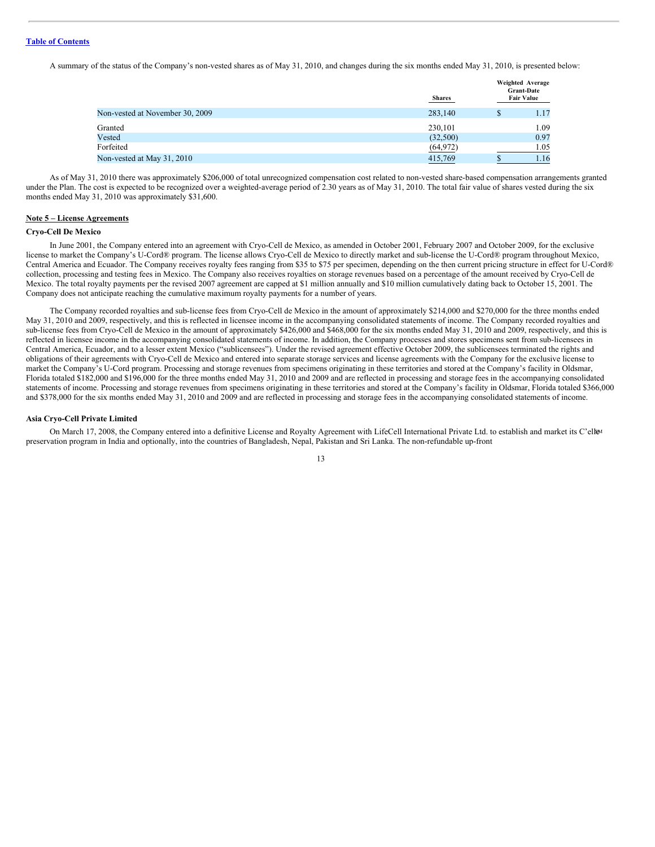A summary of the status of the Company's non-vested shares as of May 31, 2010, and changes during the six months ended May 31, 2010, is presented below:

|                                 | <b>Shares</b> |   | Weighted Average<br><b>Grant-Date</b><br><b>Fair Value</b> |
|---------------------------------|---------------|---|------------------------------------------------------------|
| Non-vested at November 30, 2009 | 283,140       | S | 1.17                                                       |
| Granted                         | 230,101       |   | 1.09                                                       |
| Vested                          | (32,500)      |   | 0.97                                                       |
| Forfeited                       | (64, 972)     |   | 1.05                                                       |
| Non-vested at May 31, 2010      | 415,769       |   | 1.16                                                       |
|                                 |               |   |                                                            |

As of May 31, 2010 there was approximately \$206,000 of total unrecognized compensation cost related to non-vested share-based compensation arrangements granted under the Plan. The cost is expected to be recognized over a weighted-average period of 2.30 years as of May 31, 2010. The total fair value of shares vested during the six months ended May 31, 2010 was approximately \$31,600.

#### **Note 5 – License Agreements**

#### **Cryo-Cell De Mexico**

In June 2001, the Company entered into an agreement with Cryo-Cell de Mexico, as amended in October 2001, February 2007 and October 2009, for the exclusive license to market the Company's U-Cord® program. The license allows Cryo-Cell de Mexico to directly market and sub-license the U-Cord® program throughout Mexico, Central America and Ecuador. The Company receives royalty fees ranging from \$35 to \$75 per specimen, depending on the then current pricing structure in effect for U-Cord® collection, processing and testing fees in Mexico. The Company also receives royalties on storage revenues based on a percentage of the amount received by Cryo-Cell de Mexico. The total royalty payments per the revised 2007 agreement are capped at \$1 million annually and \$10 million cumulatively dating back to October 15, 2001. The Company does not anticipate reaching the cumulative maximum royalty payments for a number of years.

The Company recorded royalties and sub-license fees from Cryo-Cell de Mexico in the amount of approximately \$214,000 and \$270,000 for the three months ended May 31, 2010 and 2009, respectively, and this is reflected in licensee income in the accompanying consolidated statements of income. The Company recorded royalties and sub-license fees from Cryo-Cell de Mexico in the amount of approximately \$426,000 and \$468,000 for the six months ended May 31, 2010 and 2009, respectively, and this is reflected in licensee income in the accompanying consolidated statements of income. In addition, the Company processes and stores specimens sent from sub-licensees in Central America, Ecuador, and to a lesser extent Mexico ("sublicensees"). Under the revised agreement effective October 2009, the sublicensees terminated the rights and obligations of their agreements with Cryo-Cell de Mexico and entered into separate storage services and license agreements with the Company for the exclusive license to market the Company's U-Cord program. Processing and storage revenues from specimens originating in these territories and stored at the Company's facility in Oldsmar, Florida totaled \$182,000 and \$196,000 for the three months ended May 31, 2010 and 2009 and are reflected in processing and storage fees in the accompanying consolidated statements of income. Processing and storage revenues from specimens originating in these territories and stored at the Company's facility in Oldsmar, Florida totaled \$366,000 and \$378,000 for the six months ended May 31, 2010 and 2009 and are reflected in processing and storage fees in the accompanying consolidated statements of income.

#### **Asia Cryo-Cell Private Limited**

On March 17, 2008, the Company entered into a definitive License and Royalty Agreement with LifeCell International Private Ltd. to establish and market its C'ell<sup>ga</sup> preservation program in India and optionally, into the countries of Bangladesh, Nepal, Pakistan and Sri Lanka. The non-refundable up-front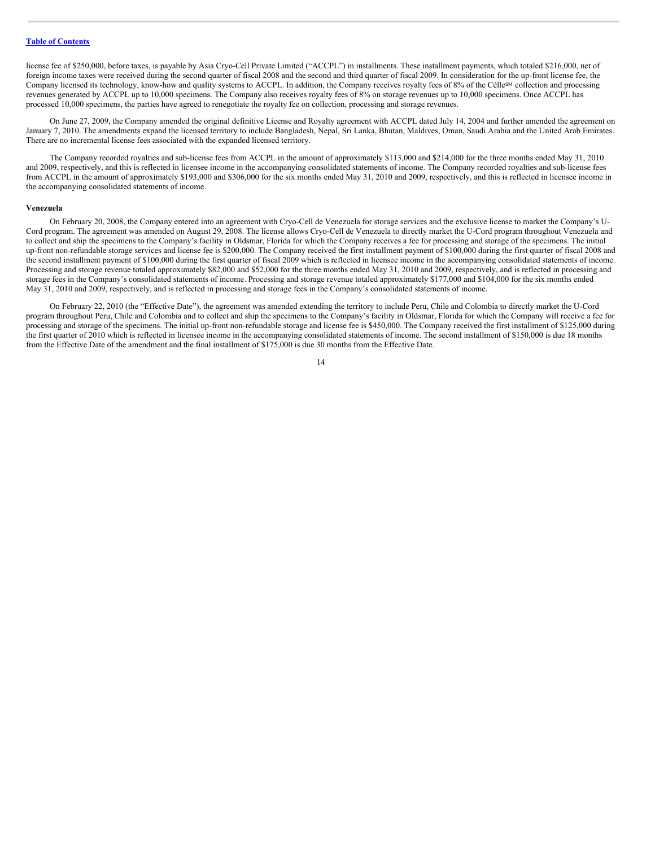license fee of \$250,000, before taxes, is payable by Asia Cryo-Cell Private Limited ("ACCPL") in installments. These installment payments, which totaled \$216,000, net of foreign income taxes were received during the second quarter of fiscal 2008 and the second and third quarter of fiscal 2009. In consideration for the up-front license fee, the Company licensed its technology, know-how and quality systems to ACCPL. In addition, the Company receives royalty fees of 8% of the CéllesM collection and processing revenues generated by ACCPL up to 10,000 specimens. The Company also receives royalty fees of 8% on storage revenues up to 10,000 specimens. Once ACCPL has processed 10,000 specimens, the parties have agreed to renegotiate the royalty fee on collection, processing and storage revenues.

On June 27, 2009, the Company amended the original definitive License and Royalty agreement with ACCPL dated July 14, 2004 and further amended the agreement on January 7, 2010. The amendments expand the licensed territory to include Bangladesh, Nepal, Sri Lanka, Bhutan, Maldives, Oman, Saudi Arabia and the United Arab Emirates. There are no incremental license fees associated with the expanded licensed territory.

The Company recorded royalties and sub-license fees from ACCPL in the amount of approximately \$113,000 and \$214,000 for the three months ended May 31, 2010 and 2009, respectively, and this is reflected in licensee income in the accompanying consolidated statements of income. The Company recorded royalties and sub-license fees from ACCPL in the amount of approximately \$193,000 and \$306,000 for the six months ended May 31, 2010 and 2009, respectively, and this is reflected in licensee income in the accompanying consolidated statements of income.

#### **Venezuela**

On February 20, 2008, the Company entered into an agreement with Cryo-Cell de Venezuela for storage services and the exclusive license to market the Company's U-Cord program. The agreement was amended on August 29, 2008. The license allows Cryo-Cell de Venezuela to directly market the U-Cord program throughout Venezuela and to collect and ship the specimens to the Company's facility in Oldsmar, Florida for which the Company receives a fee for processing and storage of the specimens. The initial up-front non-refundable storage services and license fee is \$200,000. The Company received the first installment payment of \$100,000 during the first quarter of fiscal 2008 and the second installment payment of \$100,000 during the first quarter of fiscal 2009 which is reflected in licensee income in the accompanying consolidated statements of income. Processing and storage revenue totaled approximately \$82,000 and \$52,000 for the three months ended May 31, 2010 and 2009, respectively, and is reflected in processing and storage fees in the Company's consolidated statements of income. Processing and storage revenue totaled approximately \$177,000 and \$104,000 for the six months ended May 31, 2010 and 2009, respectively, and is reflected in processing and storage fees in the Company's consolidated statements of income.

On February 22, 2010 (the "Effective Date"), the agreement was amended extending the territory to include Peru, Chile and Colombia to directly market the U-Cord program throughout Peru, Chile and Colombia and to collect and ship the specimens to the Company's facility in Oldsmar, Florida for which the Company will receive a fee for processing and storage of the specimens. The initial up-front non-refundable storage and license fee is \$450,000. The Company received the first installment of \$125,000 during the first quarter of 2010 which is reflected in licensee income in the accompanying consolidated statements of income. The second installment of \$150,000 is due 18 months from the Effective Date of the amendment and the final installment of \$175,000 is due 30 months from the Effective Date.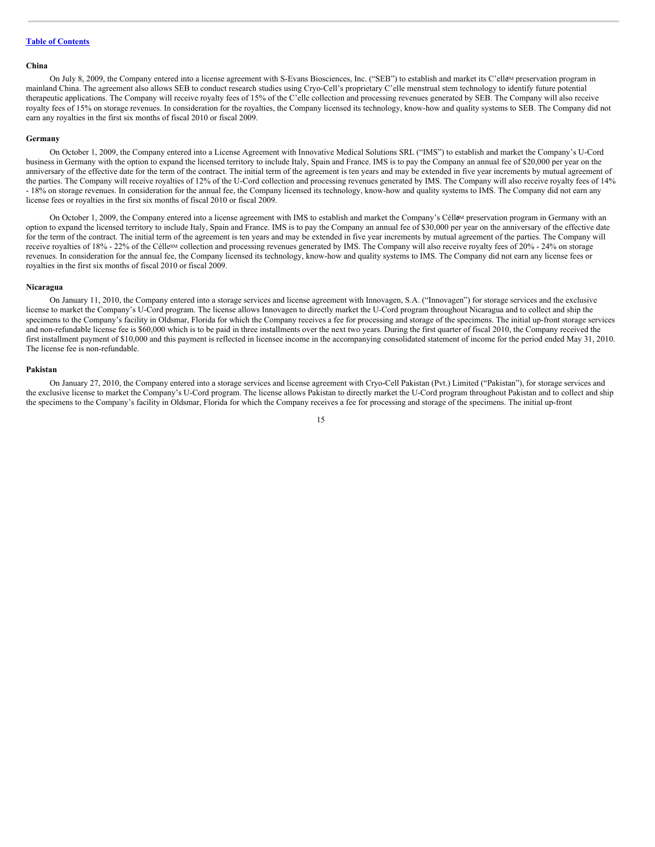#### **China**

On July 8, 2009, the Company entered into a license agreement with S-Evans Biosciences, Inc. ("SEB") to establish and market its C'ell&M preservation program in mainland China. The agreement also allows SEB to conduct research studies using Cryo-Cell's proprietary C'elle menstrual stem technology to identify future potential therapeutic applications. The Company will receive royalty fees of 15% of the C'elle collection and processing revenues generated by SEB. The Company will also receive royalty fees of 15% on storage revenues. In consideration for the royalties, the Company licensed its technology, know-how and quality systems to SEB. The Company did not earn any royalties in the first six months of fiscal 2010 or fiscal 2009.

#### **Germany**

On October 1, 2009, the Company entered into a License Agreement with Innovative Medical Solutions SRL ("IMS") to establish and market the Company's U-Cord business in Germany with the option to expand the licensed territory to include Italy, Spain and France. IMS is to pay the Company an annual fee of \$20,000 per year on the anniversary of the effective date for the term of the contract. The initial term of the agreement is ten years and may be extended in five year increments by mutual agreement of the parties. The Company will receive royalties of 12% of the U-Cord collection and processing revenues generated by IMS. The Company will also receive royalty fees of 14% - 18% on storage revenues. In consideration for the annual fee, the Company licensed its technology, know-how and quality systems to IMS. The Company did not earn any license fees or royalties in the first six months of fiscal 2010 or fiscal 2009.

On October 1, 2009, the Company entered into a license agreement with IMS to establish and market the Company's Célle<sup>M</sup> preservation program in Germany with an option to expand the licensed territory to include Italy, Spain and France. IMS is to pay the Company an annual fee of \$30,000 per year on the anniversary of the effective date for the term of the contract. The initial term of the agreement is ten years and may be extended in five year increments by mutual agreement of the parties. The Company will receive royalties of 18% - 22% of the Célle<sup>sM</sup> collection and processing revenues generated by IMS. The Company will also receive royalty fees of 20% - 24% on storage revenues. In consideration for the annual fee, the Company licensed its technology, know-how and quality systems to IMS. The Company did not earn any license fees or royalties in the first six months of fiscal 2010 or fiscal 2009.

#### **Nicaragua**

On January 11, 2010, the Company entered into a storage services and license agreement with Innovagen, S.A. ("Innovagen") for storage services and the exclusive license to market the Company's U-Cord program. The license allows Innovagen to directly market the U-Cord program throughout Nicaragua and to collect and ship the specimens to the Company's facility in Oldsmar, Florida for which the Company receives a fee for processing and storage of the specimens. The initial up-front storage services and non-refundable license fee is \$60,000 which is to be paid in three installments over the next two years. During the first quarter of fiscal 2010, the Company received the first installment payment of \$10,000 and this payment is reflected in licensee income in the accompanying consolidated statement of income for the period ended May 31, 2010. The license fee is non-refundable.

#### **Pakistan**

On January 27, 2010, the Company entered into a storage services and license agreement with Cryo-Cell Pakistan (Pvt.) Limited ("Pakistan"), for storage services and the exclusive license to market the Company's U-Cord program. The license allows Pakistan to directly market the U-Cord program throughout Pakistan and to collect and ship the specimens to the Company's facility in Oldsmar, Florida for which the Company receives a fee for processing and storage of the specimens. The initial up-front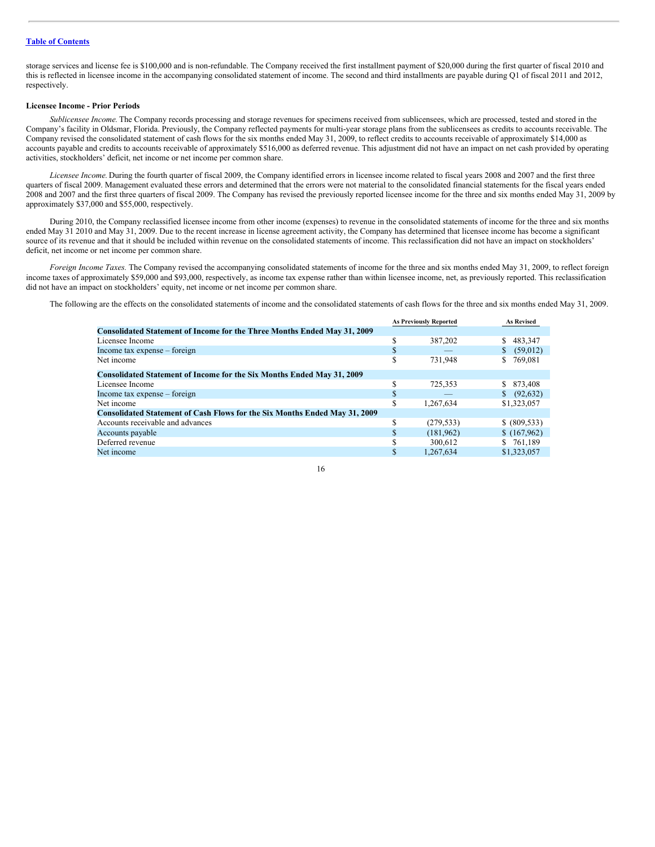storage services and license fee is \$100,000 and is non-refundable. The Company received the first installment payment of \$20,000 during the first quarter of fiscal 2010 and this is reflected in licensee income in the accompanying consolidated statement of income. The second and third installments are payable during Q1 of fiscal 2011 and 2012, respectively.

#### **Licensee Income - Prior Periods**

*Sublicensee Income.* The Company records processing and storage revenues for specimens received from sublicensees, which are processed, tested and stored in the Company's facility in Oldsmar, Florida. Previously, the Company reflected payments for multi-year storage plans from the sublicensees as credits to accounts receivable. The Company revised the consolidated statement of cash flows for the six months ended May 31, 2009, to reflect credits to accounts receivable of approximately \$14,000 as accounts payable and credits to accounts receivable of approximately \$516,000 as deferred revenue. This adjustment did not have an impact on net cash provided by operating activities, stockholders' deficit, net income or net income per common share.

*Licensee Income.* During the fourth quarter of fiscal 2009, the Company identified errors in licensee income related to fiscal years 2008 and 2007 and the first three quarters of fiscal 2009. Management evaluated these errors and determined that the errors were not material to the consolidated financial statements for the fiscal years ended 2008 and 2007 and the first three quarters of fiscal 2009. The Company has revised the previously reported licensee income for the three and six months ended May 31, 2009 by approximately \$37,000 and \$55,000, respectively.

During 2010, the Company reclassified licensee income from other income (expenses) to revenue in the consolidated statements of income for the three and six months ended May 31 2010 and May 31, 2009. Due to the recent increase in license agreement activity, the Company has determined that licensee income has become a significant source of its revenue and that it should be included within revenue on the consolidated statements of income. This reclassification did not have an impact on stockholders' deficit, net income or net income per common share.

*Foreign Income Taxes.* The Company revised the accompanying consolidated statements of income for the three and six months ended May 31, 2009, to reflect foreign income taxes of approximately \$59,000 and \$93,000, respectively, as income tax expense rather than within licensee income, net, as previously reported. This reclassification did not have an impact on stockholders' equity, net income or net income per common share.

The following are the effects on the consolidated statements of income and the consolidated statements of cash flows for the three and six months ended May 31, 2009.

|                                                                                   | <b>As Previously Reported</b> |            | <b>As Revised</b> |
|-----------------------------------------------------------------------------------|-------------------------------|------------|-------------------|
| <b>Consolidated Statement of Income for the Three Months Ended May 31, 2009</b>   |                               |            |                   |
| Licensee Income                                                                   | S                             | 387,202    | 483,347<br>S      |
| Income tax expense – foreign                                                      | ъ                             |            | \$<br>(59,012)    |
| Net income                                                                        | \$                            | 731.948    | S<br>769.081      |
| <b>Consolidated Statement of Income for the Six Months Ended May 31, 2009</b>     |                               |            |                   |
| Licensee Income                                                                   |                               | 725,353    | \$ 873,408        |
| Income tax expense – foreign                                                      |                               |            | (92, 632)         |
| Net income                                                                        | S                             | 1,267,634  | \$1,323,057       |
| <b>Consolidated Statement of Cash Flows for the Six Months Ended May 31, 2009</b> |                               |            |                   |
| Accounts receivable and advances                                                  | S                             | (279, 533) | \$ (809, 533)     |
| Accounts payable                                                                  |                               | (181, 962) | \$(167,962)       |
| Deferred revenue                                                                  |                               | 300.612    | \$761,189         |
| Net income                                                                        |                               | 1.267.634  | \$1,323,057       |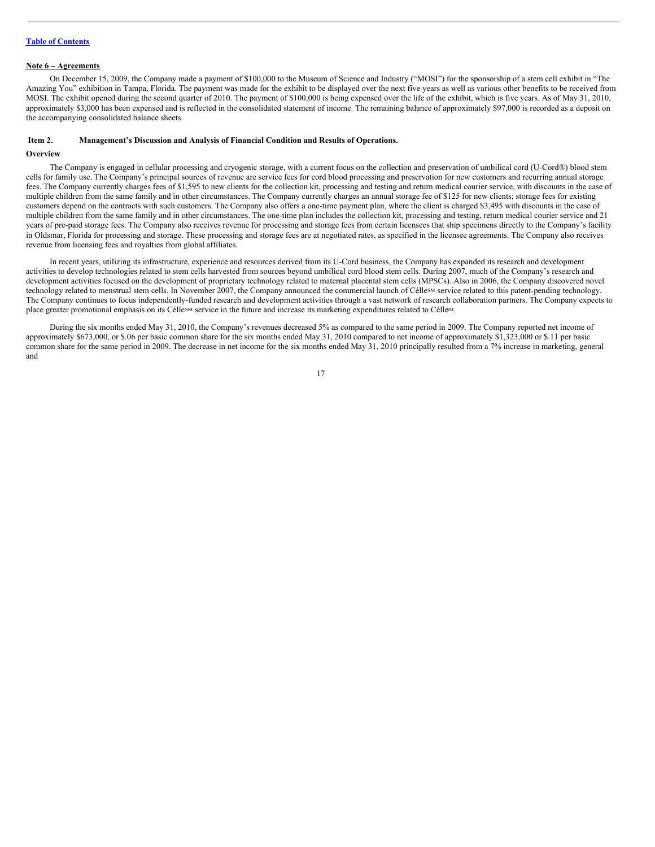#### **Note 6 – Agreements**

On December 15, 2009, the Company made a payment of \$100,000 to the Museum of Science and Industry ("MOSI") for the sponsorship of a stem cell exhibit in "The Amazing You" exhibition in Tampa, Florida. The payment was made for the exhibit to be displayed over the next five years as well as various other benefits to be received from MOSI. The exhibit opened during the second quarter of 2010. The payment of \$100,000 is being expensed over the life of the exhibit, which is five years. As of May 31, 2010, approximately \$3,000 has been expensed and is reflected in the consolidated statement of income. The remaining balance of approximately \$97,000 is recorded as a deposit on the accompanying consolidated balance sheets.

#### <span id="page-16-0"></span>**Item 2. Management's Discussion and Analysis of Financial Condition and Results of Operations.**

# **Overview**

The Company is engaged in cellular processing and cryogenic storage, with a current focus on the collection and preservation of umbilical cord (U-Cord®) blood stem cells for family use. The Company's principal sources of revenue are service fees for cord blood processing and preservation for new customers and recurring annual storage fees. The Company currently charges fees of \$1,595 to new clients for the collection kit, processing and testing and return medical courier service, with discounts in the case of multiple children from the same family and in other circumstances. The Company currently charges an annual storage fee of \$125 for new clients; storage fees for existing customers depend on the contracts with such customers. The Company also offers a one-time payment plan, where the client is charged \$3,495 with discounts in the case of multiple children from the same family and in other circumstances. The one-time plan includes the collection kit, processing and testing, return medical courier service and 21 years of pre-paid storage fees. The Company also receives revenue for processing and storage fees from certain licensees that ship specimens directly to the Company's facility in Oldsmar, Florida for processing and storage. These processing and storage fees are at negotiated rates, as specified in the licensee agreements. The Company also receives revenue from licensing fees and royalties from global affiliates.

In recent years, utilizing its infrastructure, experience and resources derived from its U-Cord business, the Company has expanded its research and development activities to develop technologies related to stem cells harvested from sources beyond umbilical cord blood stem cells. During 2007, much of the Company's research and development activities focused on the development of proprietary technology related to maternal placental stem cells (MPSCs). Also in 2006, the Company discovered novel technology related to menstrual stem cells. In November 2007, the Company announced the commercial launch of Célle<sup>SM</sup> service related to this patent-pending technology. The Company continues to focus independently-funded research and development activities through a vast network of research collaboration partners. The Company expects to place greater promotional emphasis on its Célle<sup>sM</sup> service in the future and increase its marketing expenditures related to Célle<sup>M</sup>.

During the six months ended May 31, 2010, the Company's revenues decreased 5% as compared to the same period in 2009. The Company reported net income of approximately \$673,000, or \$.06 per basic common share for the six months ended May 31, 2010 compared to net income of approximately \$1,323,000 or \$.11 per basic common share for the same period in 2009. The decrease in net income for the six months ended May 31, 2010 principally resulted from a 7% increase in marketing, general and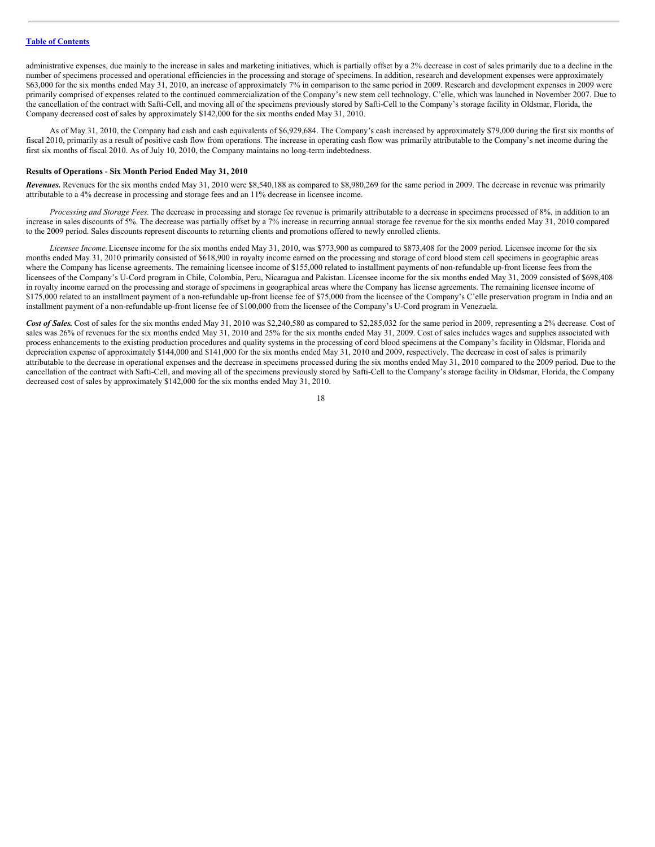administrative expenses, due mainly to the increase in sales and marketing initiatives, which is partially offset by a 2% decrease in cost of sales primarily due to a decline in the number of specimens processed and operational efficiencies in the processing and storage of specimens. In addition, research and development expenses were approximately \$63,000 for the six months ended May 31, 2010, an increase of approximately 7% in comparison to the same period in 2009. Research and development expenses in 2009 were primarily comprised of expenses related to the continued commercialization of the Company's new stem cell technology, C'elle, which was launched in November 2007. Due to the cancellation of the contract with Safti-Cell, and moving all of the specimens previously stored by Safti-Cell to the Company's storage facility in Oldsmar, Florida, the Company decreased cost of sales by approximately \$142,000 for the six months ended May 31, 2010.

As of May 31, 2010, the Company had cash and cash equivalents of \$6,929,684. The Company's cash increased by approximately \$79,000 during the first six months of fiscal 2010, primarily as a result of positive cash flow from operations. The increase in operating cash flow was primarily attributable to the Company's net income during the first six months of fiscal 2010. As of July 10, 2010, the Company maintains no long-term indebtedness.

#### **Results of Operations - Six Month Period Ended May 31, 2010**

*Revenues.* Revenues for the six months ended May 31, 2010 were \$8,540,188 as compared to \$8,980,269 for the same period in 2009. The decrease in revenue was primarily attributable to a 4% decrease in processing and storage fees and an 11% decrease in licensee income.

*Processing and Storage Fees.* The decrease in processing and storage fee revenue is primarily attributable to a decrease in specimens processed of 8%, in addition to an increase in sales discounts of 5%. The decrease was partially offset by a 7% increase in recurring annual storage fee revenue for the six months ended May 31, 2010 compared to the 2009 period. Sales discounts represent discounts to returning clients and promotions offered to newly enrolled clients.

*Licensee Income.*Licensee income for the six months ended May 31, 2010, was \$773,900 as compared to \$873,408 for the 2009 period. Licensee income for the six months ended May 31, 2010 primarily consisted of \$618,900 in royalty income earned on the processing and storage of cord blood stem cell specimens in geographic areas where the Company has license agreements. The remaining licensee income of \$155,000 related to installment payments of non-refundable up-front license fees from the licensees of the Company's U-Cord program in Chile, Colombia, Peru, Nicaragua and Pakistan. Licensee income for the six months ended May 31, 2009 consisted of \$698,408 in royalty income earned on the processing and storage of specimens in geographical areas where the Company has license agreements. The remaining licensee income of \$175,000 related to an installment payment of a non-refundable up-front license fee of \$75,000 from the licensee of the Company's C'elle preservation program in India and an installment payment of a non-refundable up-front license fee of \$100,000 from the licensee of the Company's U-Cord program in Venezuela.

Cost of Sales. Cost of sales for the six months ended May 31, 2010 was \$2,240,580 as compared to \$2,285,032 for the same period in 2009, representing a 2% decrease. Cost of sales was 26% of revenues for the six months ended May 31, 2010 and 25% for the six months ended May 31, 2009. Cost of sales includes wages and supplies associated with process enhancements to the existing production procedures and quality systems in the processing of cord blood specimens at the Company's facility in Oldsmar, Florida and depreciation expense of approximately \$144,000 and \$141,000 for the six months ended May 31, 2010 and 2009, respectively. The decrease in cost of sales is primarily attributable to the decrease in operational expenses and the decrease in specimens processed during the six months ended May 31, 2010 compared to the 2009 period. Due to the cancellation of the contract with Safti-Cell, and moving all of the specimens previously stored by Safti-Cell to the Company's storage facility in Oldsmar, Florida, the Company decreased cost of sales by approximately \$142,000 for the six months ended May 31, 2010.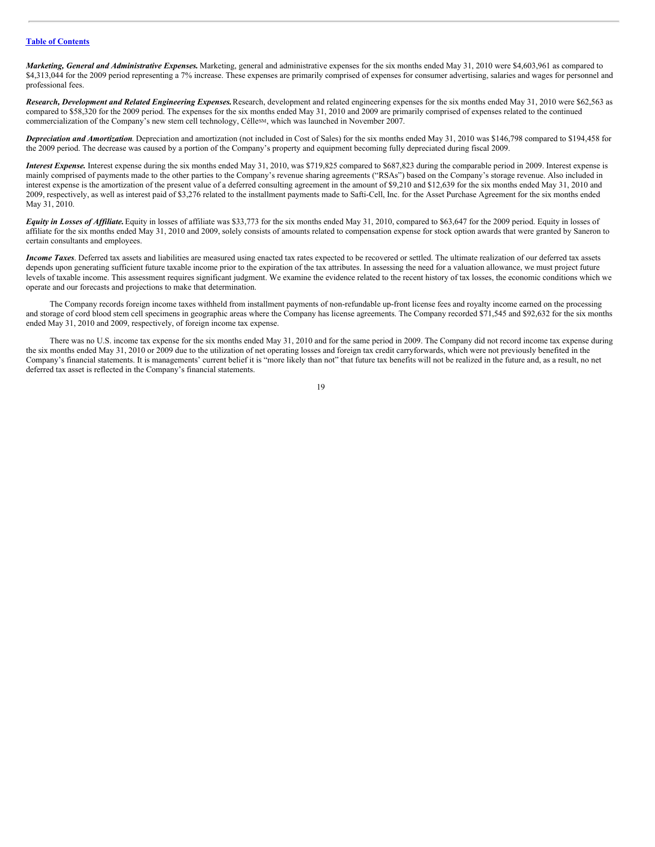*Marketing, General and Administrative Expenses.* Marketing, general and administrative expenses for the six months ended May 31, 2010 were \$4,603,961 as compared to \$4,313,044 for the 2009 period representing a 7% increase. These expenses are primarily comprised of expenses for consumer advertising, salaries and wages for personnel and professional fees.

*Research, Development and Related Engineering Expenses.*Research, development and related engineering expenses for the six months ended May 31, 2010 were \$62,563 as compared to \$58,320 for the 2009 period. The expenses for the six months ended May 31, 2010 and 2009 are primarily comprised of expenses related to the continued commercialization of the Company's new stem cell technology, Célle<sup>SM</sup>, which was launched in November 2007.

*Depreciation and Amortization*. Depreciation and amortization (not included in Cost of Sales) for the six months ended May 31, 2010 was \$146,798 compared to \$194,458 for the 2009 period. The decrease was caused by a portion of the Company's property and equipment becoming fully depreciated during fiscal 2009.

*Interest Expense.* Interest expense during the six months ended May 31, 2010, was \$719,825 compared to \$687,823 during the comparable period in 2009. Interest expense is mainly comprised of payments made to the other parties to the Company's revenue sharing agreements ("RSAs") based on the Company's storage revenue. Also included in interest expense is the amortization of the present value of a deferred consulting agreement in the amount of \$9,210 and \$12,639 for the six months ended May 31, 2010 and 2009, respectively, as well as interest paid of \$3,276 related to the installment payments made to Safti-Cell, Inc. for the Asset Purchase Agreement for the six months ended May 31, 2010.

*Equity in Losses of Af iliate.*Equity in losses of affiliate was \$33,773 for the six months ended May 31, 2010, compared to \$63,647 for the 2009 period. Equity in losses of affiliate for the six months ended May 31, 2010 and 2009, solely consists of amounts related to compensation expense for stock option awards that were granted by Saneron to certain consultants and employees.

*Income Taxes*. Deferred tax assets and liabilities are measured using enacted tax rates expected to be recovered or settled. The ultimate realization of our deferred tax assets depends upon generating sufficient future taxable income prior to the expiration of the tax attributes. In assessing the need for a valuation allowance, we must project future levels of taxable income. This assessment requires significant judgment. We examine the evidence related to the recent history of tax losses, the economic conditions which we operate and our forecasts and projections to make that determination.

The Company records foreign income taxes withheld from installment payments of non-refundable up-front license fees and royalty income earned on the processing and storage of cord blood stem cell specimens in geographic areas where the Company has license agreements. The Company recorded \$71,545 and \$92,632 for the six months ended May 31, 2010 and 2009, respectively, of foreign income tax expense.

There was no U.S. income tax expense for the six months ended May 31, 2010 and for the same period in 2009. The Company did not record income tax expense during the six months ended May 31, 2010 or 2009 due to the utilization of net operating losses and foreign tax credit carryforwards, which were not previously benefited in the Company's financial statements. It is managements' current belief it is "more likely than not" that future tax benefits will not be realized in the future and, as a result, no net deferred tax asset is reflected in the Company's financial statements.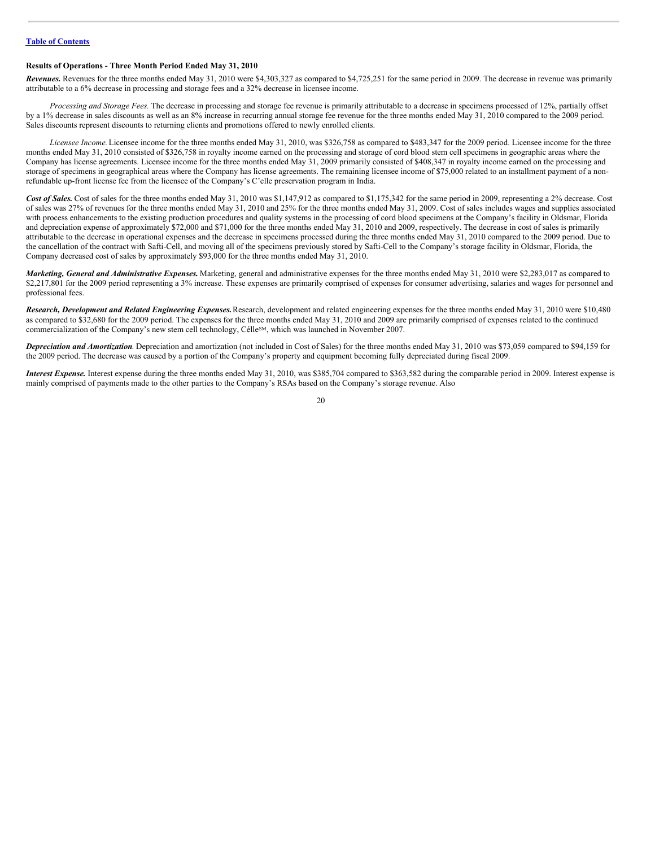#### **Results of Operations - Three Month Period Ended May 31, 2010**

*Revenues.* Revenues for the three months ended May 31, 2010 were \$4,303,327 as compared to \$4,725,251 for the same period in 2009. The decrease in revenue was primarily attributable to a 6% decrease in processing and storage fees and a 32% decrease in licensee income.

*Processing and Storage Fees.* The decrease in processing and storage fee revenue is primarily attributable to a decrease in specimens processed of 12%, partially offset by a 1% decrease in sales discounts as well as an 8% increase in recurring annual storage fee revenue for the three months ended May 31, 2010 compared to the 2009 period. Sales discounts represent discounts to returning clients and promotions offered to newly enrolled clients.

*Licensee Income.*Licensee income for the three months ended May 31, 2010, was \$326,758 as compared to \$483,347 for the 2009 period. Licensee income for the three months ended May 31, 2010 consisted of \$326,758 in royalty income earned on the processing and storage of cord blood stem cell specimens in geographic areas where the Company has license agreements. Licensee income for the three months ended May 31, 2009 primarily consisted of \$408,347 in royalty income earned on the processing and storage of specimens in geographical areas where the Company has license agreements. The remaining licensee income of \$75,000 related to an installment payment of a nonrefundable up-front license fee from the licensee of the Company's C'elle preservation program in India.

Cost of Sales. Cost of sales for the three months ended May 31, 2010 was \$1,147,912 as compared to \$1,175,342 for the same period in 2009, representing a 2% decrease. Cost of sales was 27% of revenues for the three months ended May 31, 2010 and 25% for the three months ended May 31, 2009. Cost of sales includes wages and supplies associated with process enhancements to the existing production procedures and quality systems in the processing of cord blood specimens at the Company's facility in Oldsmar, Florida and depreciation expense of approximately \$72,000 and \$71,000 for the three months ended May 31, 2010 and 2009, respectively. The decrease in cost of sales is primarily attributable to the decrease in operational expenses and the decrease in specimens processed during the three months ended May 31, 2010 compared to the 2009 period. Due to the cancellation of the contract with Safti-Cell, and moving all of the specimens previously stored by Safti-Cell to the Company's storage facility in Oldsmar, Florida, the Company decreased cost of sales by approximately \$93,000 for the three months ended May 31, 2010.

*Marketing, General and Administrative Expenses.* Marketing, general and administrative expenses for the three months ended May 31, 2010 were \$2,283,017 as compared to \$2,217,801 for the 2009 period representing a 3% increase. These expenses are primarily comprised of expenses for consumer advertising, salaries and wages for personnel and professional fees.

*Research, Development and Related Engineering Expenses.*Research, development and related engineering expenses for the three months ended May 31, 2010 were \$10,480 as compared to \$32,680 for the 2009 period. The expenses for the three months ended May 31, 2010 and 2009 are primarily comprised of expenses related to the continued commercialization of the Company's new stem cell technology, Célle<sup>SM</sup>, which was launched in November 2007.

*Depreciation and Amortization*. Depreciation and amortization (not included in Cost of Sales) for the three months ended May 31, 2010 was \$73,059 compared to \$94,159 for the 2009 period. The decrease was caused by a portion of the Company's property and equipment becoming fully depreciated during fiscal 2009.

*Interest Expense.* Interest expense during the three months ended May 31, 2010, was \$385,704 compared to \$363,582 during the comparable period in 2009. Interest expense is mainly comprised of payments made to the other parties to the Company's RSAs based on the Company's storage revenue. Also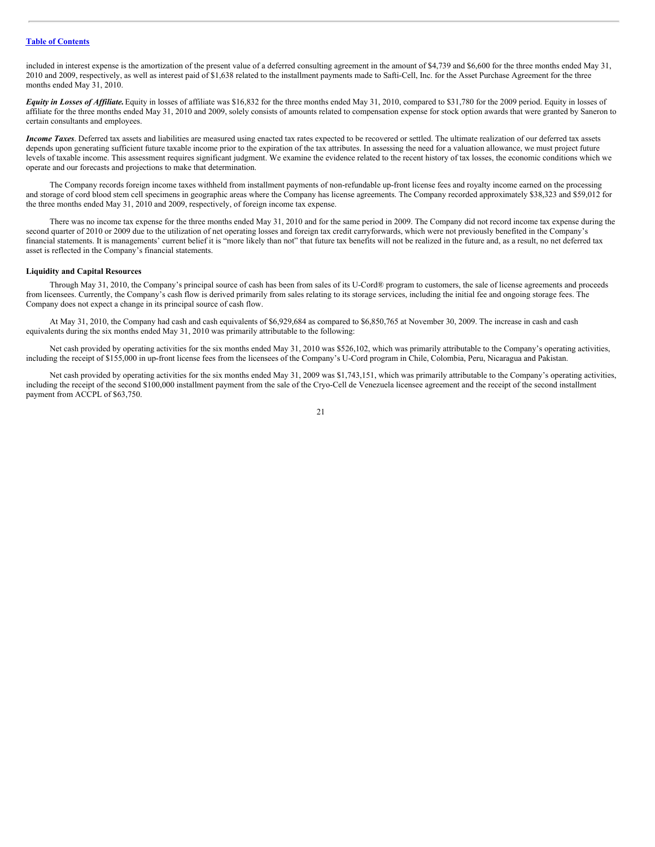included in interest expense is the amortization of the present value of a deferred consulting agreement in the amount of \$4,739 and \$6,600 for the three months ended May 31, 2010 and 2009, respectively, as well as interest paid of \$1,638 related to the installment payments made to Safti-Cell, Inc. for the Asset Purchase Agreement for the three months ended May 31, 2010.

*Equity in Losses of Af iliate.*Equity in losses of affiliate was \$16,832 for the three months ended May 31, 2010, compared to \$31,780 for the 2009 period. Equity in losses of affiliate for the three months ended May 31, 2010 and 2009, solely consists of amounts related to compensation expense for stock option awards that were granted by Saneron to certain consultants and employees.

*Income Taxes*. Deferred tax assets and liabilities are measured using enacted tax rates expected to be recovered or settled. The ultimate realization of our deferred tax assets depends upon generating sufficient future taxable income prior to the expiration of the tax attributes. In assessing the need for a valuation allowance, we must project future levels of taxable income. This assessment requires significant judgment. We examine the evidence related to the recent history of tax losses, the economic conditions which we operate and our forecasts and projections to make that determination.

The Company records foreign income taxes withheld from installment payments of non-refundable up-front license fees and royalty income earned on the processing and storage of cord blood stem cell specimens in geographic areas where the Company has license agreements. The Company recorded approximately \$38,323 and \$59,012 for the three months ended May 31, 2010 and 2009, respectively, of foreign income tax expense.

There was no income tax expense for the three months ended May 31, 2010 and for the same period in 2009. The Company did not record income tax expense during the second quarter of 2010 or 2009 due to the utilization of net operating losses and foreign tax credit carryforwards, which were not previously benefited in the Company's financial statements. It is managements' current belief it is "more likely than not" that future tax benefits will not be realized in the future and, as a result, no net deferred tax asset is reflected in the Company's financial statements.

#### **Liquidity and Capital Resources**

Through May 31, 2010, the Company's principal source of cash has been from sales of its U-Cord® program to customers, the sale of license agreements and proceeds from licensees. Currently, the Company's cash flow is derived primarily from sales relating to its storage services, including the initial fee and ongoing storage fees. The Company does not expect a change in its principal source of cash flow.

At May 31, 2010, the Company had cash and cash equivalents of \$6,929,684 as compared to \$6,850,765 at November 30, 2009. The increase in cash and cash equivalents during the six months ended May 31, 2010 was primarily attributable to the following:

Net cash provided by operating activities for the six months ended May 31, 2010 was \$526,102, which was primarily attributable to the Company's operating activities, including the receipt of \$155,000 in up-front license fees from the licensees of the Company's U-Cord program in Chile, Colombia, Peru, Nicaragua and Pakistan.

Net cash provided by operating activities for the six months ended May 31, 2009 was \$1,743,151, which was primarily attributable to the Company's operating activities, including the receipt of the second \$100,000 installment payment from the sale of the Cryo-Cell de Venezuela licensee agreement and the receipt of the second installment payment from ACCPL of \$63,750.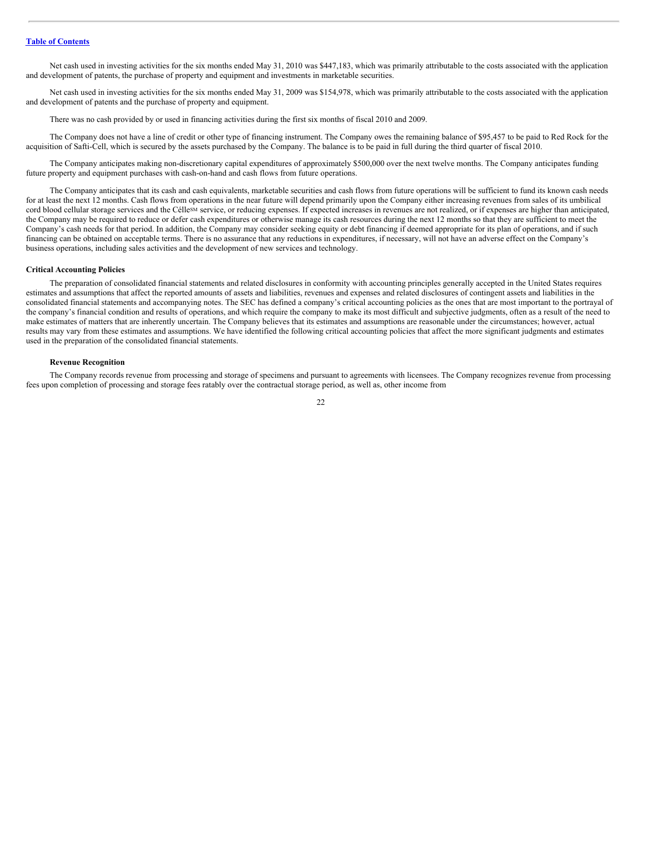Net cash used in investing activities for the six months ended May 31, 2010 was \$447,183, which was primarily attributable to the costs associated with the application and development of patents, the purchase of property and equipment and investments in marketable securities.

Net cash used in investing activities for the six months ended May 31, 2009 was \$154,978, which was primarily attributable to the costs associated with the application and development of patents and the purchase of property and equipment.

There was no cash provided by or used in financing activities during the first six months of fiscal 2010 and 2009.

The Company does not have a line of credit or other type of financing instrument. The Company owes the remaining balance of \$95,457 to be paid to Red Rock for the acquisition of Safti-Cell, which is secured by the assets purchased by the Company. The balance is to be paid in full during the third quarter of fiscal 2010.

The Company anticipates making non-discretionary capital expenditures of approximately \$500,000 over the next twelve months. The Company anticipates funding future property and equipment purchases with cash-on-hand and cash flows from future operations.

The Company anticipates that its cash and cash equivalents, marketable securities and cash flows from future operations will be sufficient to fund its known cash needs for at least the next 12 months. Cash flows from operations in the near future will depend primarily upon the Company either increasing revenues from sales of its umbilical cord blood cellular storage services and the Célle<sup>sM</sup> service, or reducing expenses. If expected increases in revenues are not realized, or if expenses are higher than anticipated, the Company may be required to reduce or defer cash expenditures or otherwise manage its cash resources during the next 12 months so that they are sufficient to meet the Company's cash needs for that period. In addition, the Company may consider seeking equity or debt financing if deemed appropriate for its plan of operations, and if such financing can be obtained on acceptable terms. There is no assurance that any reductions in expenditures, if necessary, will not have an adverse effect on the Company's business operations, including sales activities and the development of new services and technology.

#### **Critical Accounting Policies**

The preparation of consolidated financial statements and related disclosures in conformity with accounting principles generally accepted in the United States requires estimates and assumptions that affect the reported amounts of assets and liabilities, revenues and expenses and related disclosures of contingent assets and liabilities in the consolidated financial statements and accompanying notes. The SEC has defined a company's critical accounting policies as the ones that are most important to the portrayal of the company's financial condition and results of operations, and which require the company to make its most difficult and subjective judgments, often as a result of the need to make estimates of matters that are inherently uncertain. The Company believes that its estimates and assumptions are reasonable under the circumstances; however, actual results may vary from these estimates and assumptions. We have identified the following critical accounting policies that affect the more significant judgments and estimates used in the preparation of the consolidated financial statements.

#### **Revenue Recognition**

The Company records revenue from processing and storage of specimens and pursuant to agreements with licensees. The Company recognizes revenue from processing fees upon completion of processing and storage fees ratably over the contractual storage period, as well as, other income from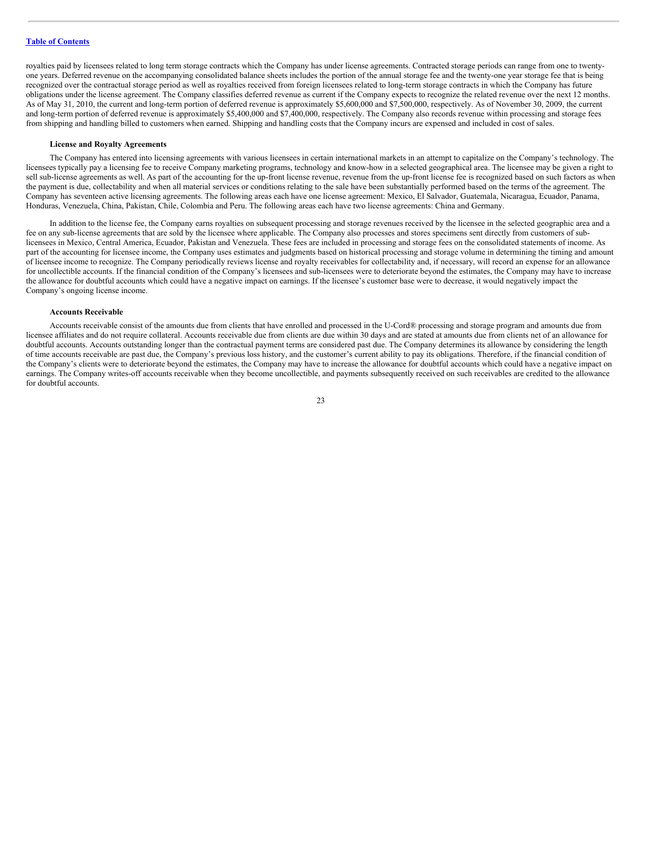royalties paid by licensees related to long term storage contracts which the Company has under license agreements. Contracted storage periods can range from one to twentyone years. Deferred revenue on the accompanying consolidated balance sheets includes the portion of the annual storage fee and the twenty-one year storage fee that is being recognized over the contractual storage period as well as royalties received from foreign licensees related to long-term storage contracts in which the Company has future obligations under the license agreement. The Company classifies deferred revenue as current if the Company expects to recognize the related revenue over the next 12 months. As of May 31, 2010, the current and long-term portion of deferred revenue is approximately \$5,600,000 and \$7,500,000, respectively. As of November 30, 2009, the current and long-term portion of deferred revenue is approximately \$5,400,000 and \$7,400,000, respectively. The Company also records revenue within processing and storage fees from shipping and handling billed to customers when earned. Shipping and handling costs that the Company incurs are expensed and included in cost of sales.

# **License and Royalty Agreements**

The Company has entered into licensing agreements with various licensees in certain international markets in an attempt to capitalize on the Company's technology. The licensees typically pay a licensing fee to receive Company marketing programs, technology and know-how in a selected geographical area. The licensee may be given a right to sell sub-license agreements as well. As part of the accounting for the up-front license revenue, revenue from the up-front license fee is recognized based on such factors as when the payment is due, collectability and when all material services or conditions relating to the sale have been substantially performed based on the terms of the agreement. The Company has seventeen active licensing agreements. The following areas each have one license agreement: Mexico, El Salvador, Guatemala, Nicaragua, Ecuador, Panama, Honduras, Venezuela, China, Pakistan, Chile, Colombia and Peru. The following areas each have two license agreements: China and Germany.

In addition to the license fee, the Company earns royalties on subsequent processing and storage revenues received by the licensee in the selected geographic area and a fee on any sub-license agreements that are sold by the licensee where applicable. The Company also processes and stores specimens sent directly from customers of sublicensees in Mexico, Central America, Ecuador, Pakistan and Venezuela. These fees are included in processing and storage fees on the consolidated statements of income. As part of the accounting for licensee income, the Company uses estimates and judgments based on historical processing and storage volume in determining the timing and amount of licensee income to recognize. The Company periodically reviews license and royalty receivables for collectability and, if necessary, will record an expense for an allowance for uncollectible accounts. If the financial condition of the Company's licensees and sub-licensees were to deteriorate beyond the estimates, the Company may have to increase the allowance for doubtful accounts which could have a negative impact on earnings. If the licensee's customer base were to decrease, it would negatively impact the Company's ongoing license income.

#### **Accounts Receivable**

Accounts receivable consist of the amounts due from clients that have enrolled and processed in the U-Cord® processing and storage program and amounts due from licensee affiliates and do not require collateral. Accounts receivable due from clients are due within 30 days and are stated at amounts due from clients net of an allowance for doubtful accounts. Accounts outstanding longer than the contractual payment terms are considered past due. The Company determines its allowance by considering the length of time accounts receivable are past due, the Company's previous loss history, and the customer's current ability to pay its obligations. Therefore, if the financial condition of the Company's clients were to deteriorate beyond the estimates, the Company may have to increase the allowance for doubtful accounts which could have a negative impact on earnings. The Company writes-off accounts receivable when they become uncollectible, and payments subsequently received on such receivables are credited to the allowance for doubtful accounts.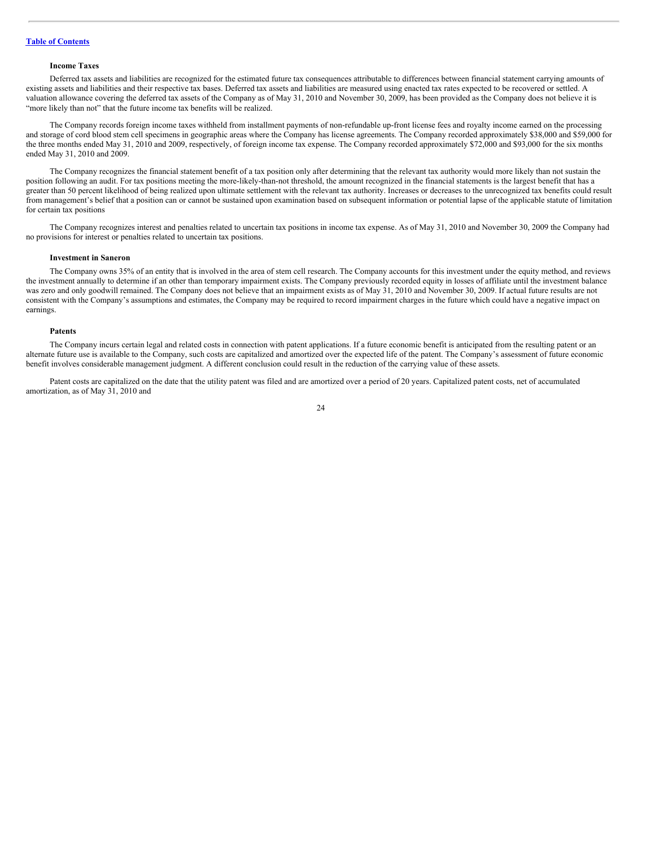#### **Income Taxes**

Deferred tax assets and liabilities are recognized for the estimated future tax consequences attributable to differences between financial statement carrying amounts of existing assets and liabilities and their respective tax bases. Deferred tax assets and liabilities are measured using enacted tax rates expected to be recovered or settled. A valuation allowance covering the deferred tax assets of the Company as of May 31, 2010 and November 30, 2009, has been provided as the Company does not believe it is "more likely than not" that the future income tax benefits will be realized.

The Company records foreign income taxes withheld from installment payments of non-refundable up-front license fees and royalty income earned on the processing and storage of cord blood stem cell specimens in geographic areas where the Company has license agreements. The Company recorded approximately \$38,000 and \$59,000 for the three months ended May 31, 2010 and 2009, respectively, of foreign income tax expense. The Company recorded approximately \$72,000 and \$93,000 for the six months ended May 31, 2010 and 2009.

The Company recognizes the financial statement benefit of a tax position only after determining that the relevant tax authority would more likely than not sustain the position following an audit. For tax positions meeting the more-likely-than-not threshold, the amount recognized in the financial statements is the largest benefit that has a greater than 50 percent likelihood of being realized upon ultimate settlement with the relevant tax authority. Increases or decreases to the unrecognized tax benefits could result from management's belief that a position can or cannot be sustained upon examination based on subsequent information or potential lapse of the applicable statute of limitation for certain tax positions

The Company recognizes interest and penalties related to uncertain tax positions in income tax expense. As of May 31, 2010 and November 30, 2009 the Company had no provisions for interest or penalties related to uncertain tax positions.

#### **Investment in Saneron**

The Company owns 35% of an entity that is involved in the area of stem cell research. The Company accounts for this investment under the equity method, and reviews the investment annually to determine if an other than temporary impairment exists. The Company previously recorded equity in losses of affiliate until the investment balance was zero and only goodwill remained. The Company does not believe that an impairment exists as of May 31, 2010 and November 30, 2009. If actual future results are not consistent with the Company's assumptions and estimates, the Company may be required to record impairment charges in the future which could have a negative impact on earnings.

#### **Patents**

The Company incurs certain legal and related costs in connection with patent applications. If a future economic benefit is anticipated from the resulting patent or an alternate future use is available to the Company, such costs are capitalized and amortized over the expected life of the patent. The Company's assessment of future economic benefit involves considerable management judgment. A different conclusion could result in the reduction of the carrying value of these assets.

Patent costs are capitalized on the date that the utility patent was filed and are amortized over a period of 20 years. Capitalized patent costs, net of accumulated amortization, as of May 31, 2010 and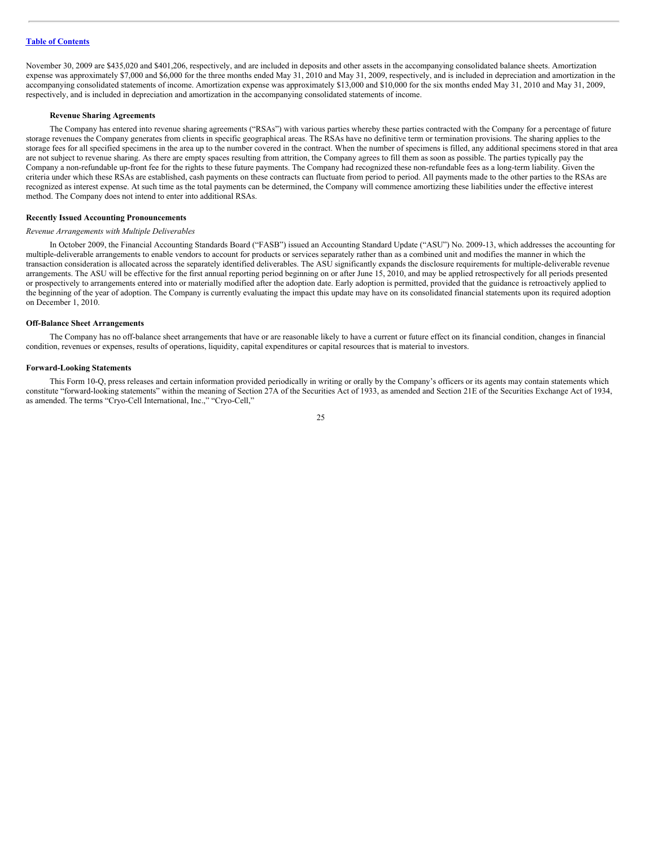November 30, 2009 are \$435,020 and \$401,206, respectively, and are included in deposits and other assets in the accompanying consolidated balance sheets. Amortization expense was approximately \$7,000 and \$6,000 for the three months ended May 31, 2010 and May 31, 2009, respectively, and is included in depreciation and amortization in the accompanying consolidated statements of income. Amortization expense was approximately \$13,000 and \$10,000 for the six months ended May 31, 2010 and May 31, 2009, respectively, and is included in depreciation and amortization in the accompanying consolidated statements of income.

#### **Revenue Sharing Agreements**

The Company has entered into revenue sharing agreements ("RSAs") with various parties whereby these parties contracted with the Company for a percentage of future storage revenues the Company generates from clients in specific geographical areas. The RSAs have no definitive term or termination provisions. The sharing applies to the storage fees for all specified specimens in the area up to the number covered in the contract. When the number of specimens is filled, any additional specimens stored in that area are not subject to revenue sharing. As there are empty spaces resulting from attrition, the Company agrees to fill them as soon as possible. The parties typically pay the Company a non-refundable up-front fee for the rights to these future payments. The Company had recognized these non-refundable fees as a long-term liability. Given the criteria under which these RSAs are established, cash payments on these contracts can fluctuate from period to period. All payments made to the other parties to the RSAs are recognized as interest expense. At such time as the total payments can be determined, the Company will commence amortizing these liabilities under the effective interest method. The Company does not intend to enter into additional RSAs.

#### **Recently Issued Accounting Pronouncements**

#### *Revenue Arrangements with Multiple Deliverables*

In October 2009, the Financial Accounting Standards Board ("FASB") issued an Accounting Standard Update ("ASU") No. 2009-13, which addresses the accounting for multiple-deliverable arrangements to enable vendors to account for products or services separately rather than as a combined unit and modifies the manner in which the transaction consideration is allocated across the separately identified deliverables. The ASU significantly expands the disclosure requirements for multiple-deliverable revenue arrangements. The ASU will be effective for the first annual reporting period beginning on or after June 15, 2010, and may be applied retrospectively for all periods presented or prospectively to arrangements entered into or materially modified after the adoption date. Early adoption is permitted, provided that the guidance is retroactively applied to the beginning of the year of adoption. The Company is currently evaluating the impact this update may have on its consolidated financial statements upon its required adoption on December 1, 2010.

#### **Off-Balance Sheet Arrangements**

The Company has no off-balance sheet arrangements that have or are reasonable likely to have a current or future effect on its financial condition, changes in financial condition, revenues or expenses, results of operations, liquidity, capital expenditures or capital resources that is material to investors.

#### **Forward-Looking Statements**

This Form 10-Q, press releases and certain information provided periodically in writing or orally by the Company's officers or its agents may contain statements which constitute "forward-looking statements" within the meaning of Section 27A of the Securities Act of 1933, as amended and Section 21E of the Securities Exchange Act of 1934, as amended. The terms "Cryo-Cell International, Inc.," "Cryo-Cell,"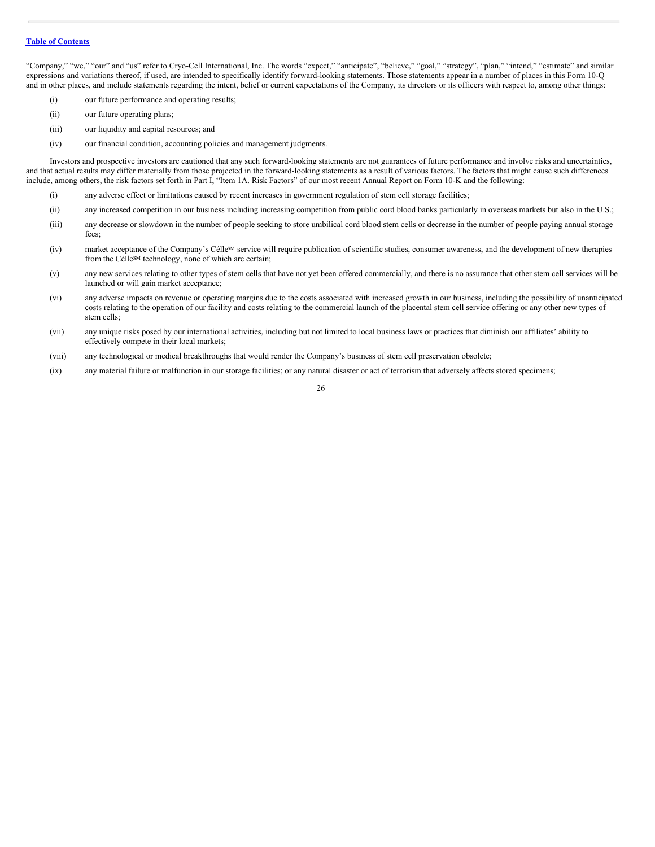"Company," "we," "our" and "us" refer to Cryo-Cell International, Inc. The words "expect," "anticipate", "believe," "goal," "strategy", "plan," "intend," "estimate" and similar expressions and variations thereof, if used, are intended to specifically identify forward-looking statements. Those statements appear in a number of places in this Form 10-Q and in other places, and include statements regarding the intent, belief or current expectations of the Company, its directors or its officers with respect to, among other things:

- (i) our future performance and operating results;
- (ii) our future operating plans;
- (iii) our liquidity and capital resources; and
- (iv) our financial condition, accounting policies and management judgments.

Investors and prospective investors are cautioned that any such forward-looking statements are not guarantees of future performance and involve risks and uncertainties, and that actual results may differ materially from those projected in the forward-looking statements as a result of various factors. The factors that might cause such differences include, among others, the risk factors set forth in Part I, "Item 1A. Risk Factors" of our most recent Annual Report on Form 10-K and the following:

- (i) any adverse effect or limitations caused by recent increases in government regulation of stem cell storage facilities;
- (ii) any increased competition in our business including increasing competition from public cord blood banks particularly in overseas markets but also in the U.S.;
- (iii) any decrease or slowdown in the number of people seeking to store umbilical cord blood stem cells or decrease in the number of people paying annual storage fees;
- (iv) market acceptance of the Company's Célle<sup>5M</sup> service will require publication of scientific studies, consumer awareness, and the development of new therapies from the Célle<sup>SM</sup> technology, none of which are certain;
- (v) any new services relating to other types of stem cells that have not yet been offered commercially, and there is no assurance that other stem cell services will be launched or will gain market acceptance;
- (vi) any adverse impacts on revenue or operating margins due to the costs associated with increased growth in our business, including the possibility of unanticipated costs relating to the operation of our facility and costs relating to the commercial launch of the placental stem cell service offering or any other new types of stem cells;
- (vii) any unique risks posed by our international activities, including but not limited to local business laws or practices that diminish our affiliates' ability to effectively compete in their local markets;
- (viii) any technological or medical breakthroughs that would render the Company's business of stem cell preservation obsolete;
- (ix) any material failure or malfunction in our storage facilities; or any natural disaster or act of terrorism that adversely affects stored specimens;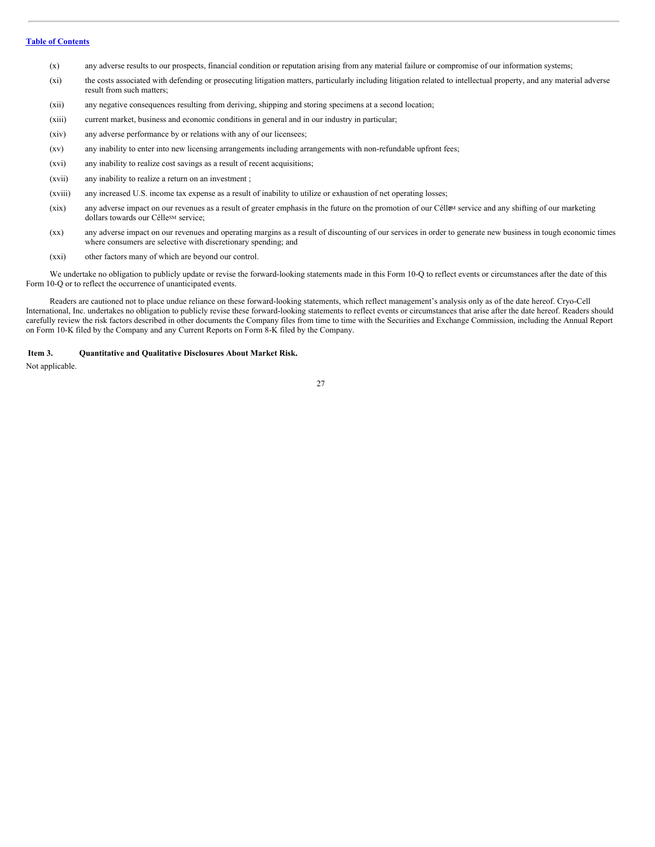- (x) any adverse results to our prospects, financial condition or reputation arising from any material failure or compromise of our information systems;
- (xi) the costs associated with defending or prosecuting litigation matters, particularly including litigation related to intellectual property, and any material adverse result from such matters;
- (xii) any negative consequences resulting from deriving, shipping and storing specimens at a second location;
- (xiii) current market, business and economic conditions in general and in our industry in particular;
- (xiv) any adverse performance by or relations with any of our licensees;
- (xv) any inability to enter into new licensing arrangements including arrangements with non-refundable upfront fees;
- (xvi) any inability to realize cost savings as a result of recent acquisitions;
- (xvii) any inability to realize a return on an investment ;
- (xviii) any increased U.S. income tax expense as a result of inability to utilize or exhaustion of net operating losses;
- $(xix)$  any adverse impact on our revenues as a result of greater emphasis in the future on the promotion of our Céll<sup>gM</sup> service and any shifting of our marketing dollars towards our Célle<sup>SM</sup> service;
- (xx) any adverse impact on our revenues and operating margins as a result of discounting of our services in order to generate new business in tough economic times where consumers are selective with discretionary spending; and
- (xxi) other factors many of which are beyond our control.

We undertake no obligation to publicly update or revise the forward-looking statements made in this Form 10-Q to reflect events or circumstances after the date of this Form 10-Q or to reflect the occurrence of unanticipated events.

Readers are cautioned not to place undue reliance on these forward-looking statements, which reflect management's analysis only as of the date hereof. Cryo-Cell International, Inc. undertakes no obligation to publicly revise these forward-looking statements to reflect events or circumstances that arise after the date hereof. Readers should carefully review the risk factors described in other documents the Company files from time to time with the Securities and Exchange Commission, including the Annual Report on Form 10-K filed by the Company and any Current Reports on Form 8-K filed by the Company.

#### <span id="page-26-0"></span>**Item 3. Quantitative and Qualitative Disclosures About Market Risk.**

Not applicable.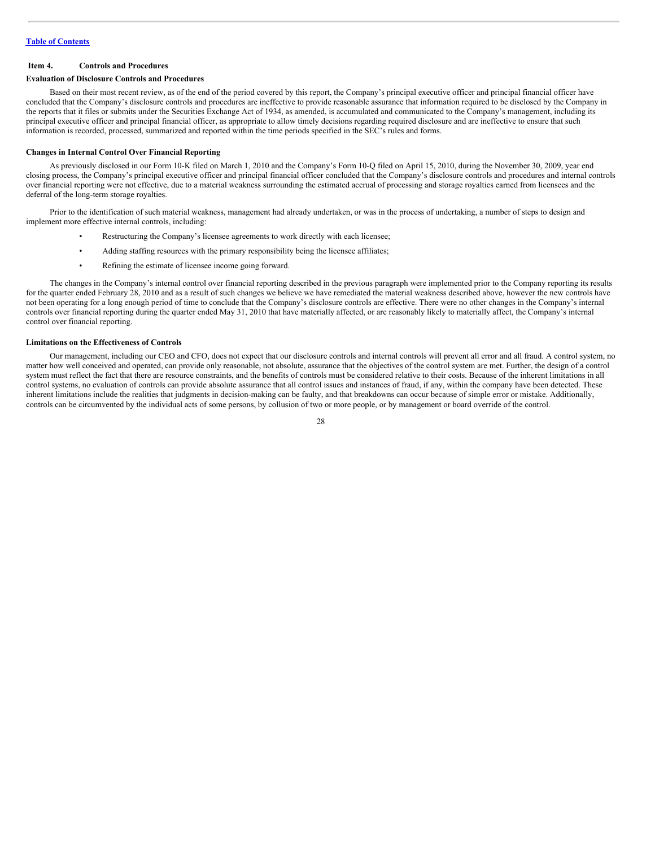#### <span id="page-27-0"></span>**Item 4. Controls and Procedures**

#### **Evaluation of Disclosure Controls and Procedures**

Based on their most recent review, as of the end of the period covered by this report, the Company's principal executive officer and principal financial officer have concluded that the Company's disclosure controls and procedures are ineffective to provide reasonable assurance that information required to be disclosed by the Company in the reports that it files or submits under the Securities Exchange Act of 1934, as amended, is accumulated and communicated to the Company's management, including its principal executive officer and principal financial officer, as appropriate to allow timely decisions regarding required disclosure and are ineffective to ensure that such information is recorded, processed, summarized and reported within the time periods specified in the SEC's rules and forms.

#### **Changes in Internal Control Over Financial Reporting**

As previously disclosed in our Form 10-K filed on March 1, 2010 and the Company's Form 10-Q filed on April 15, 2010, during the November 30, 2009, year end closing process, the Company's principal executive officer and principal financial officer concluded that the Company's disclosure controls and procedures and internal controls over financial reporting were not effective, due to a material weakness surrounding the estimated accrual of processing and storage royalties earned from licensees and the deferral of the long-term storage royalties.

Prior to the identification of such material weakness, management had already undertaken, or was in the process of undertaking, a number of steps to design and implement more effective internal controls, including:

- Restructuring the Company's licensee agreements to work directly with each licensee;
- Adding staffing resources with the primary responsibility being the licensee affiliates;
- Refining the estimate of licensee income going forward.

The changes in the Company's internal control over financial reporting described in the previous paragraph were implemented prior to the Company reporting its results for the quarter ended February 28, 2010 and as a result of such changes we believe we have remediated the material weakness described above, however the new controls have not been operating for a long enough period of time to conclude that the Company's disclosure controls are effective. There were no other changes in the Company's internal controls over financial reporting during the quarter ended May 31, 2010 that have materially affected, or are reasonably likely to materially affect, the Company's internal control over financial reporting.

#### **Limitations on the Effectiveness of Controls**

Our management, including our CEO and CFO, does not expect that our disclosure controls and internal controls will prevent all error and all fraud. A control system, no matter how well conceived and operated, can provide only reasonable, not absolute, assurance that the objectives of the control system are met. Further, the design of a control system must reflect the fact that there are resource constraints, and the benefits of controls must be considered relative to their costs. Because of the inherent limitations in all control systems, no evaluation of controls can provide absolute assurance that all control issues and instances of fraud, if any, within the company have been detected. These inherent limitations include the realities that judgments in decision-making can be faulty, and that breakdowns can occur because of simple error or mistake. Additionally, controls can be circumvented by the individual acts of some persons, by collusion of two or more people, or by management or board override of the control.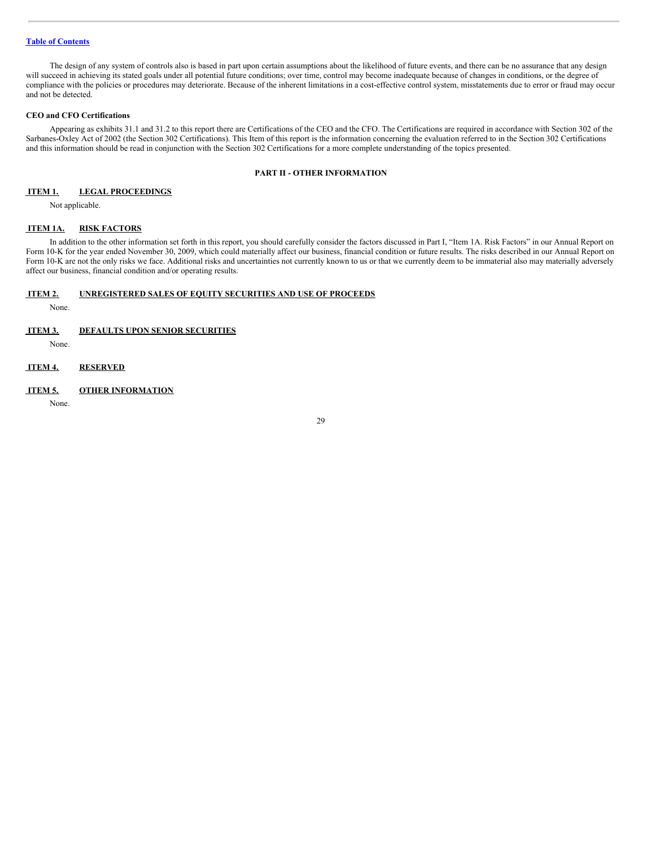The design of any system of controls also is based in part upon certain assumptions about the likelihood of future events, and there can be no assurance that any design will succeed in achieving its stated goals under all potential future conditions; over time, control may become inadequate because of changes in conditions, or the degree of compliance with the policies or procedures may deteriorate. Because of the inherent limitations in a cost-effective control system, misstatements due to error or fraud may occur and not be detected.

#### **CEO and CFO Certifications**

Appearing as exhibits 31.1 and 31.2 to this report there are Certifications of the CEO and the CFO. The Certifications are required in accordance with Section 302 of the Sarbanes-Oxley Act of 2002 (the Section 302 Certifications). This Item of this report is the information concerning the evaluation referred to in the Section 302 Certifications and this information should be read in conjunction with the Section 302 Certifications for a more complete understanding of the topics presented.

# **PART II - OTHER INFORMATION**

# <span id="page-28-0"></span>**ITEM 1. LEGAL PROCEEDINGS**

Not applicable.

#### <span id="page-28-1"></span>**ITEM 1A. RISK FACTORS**

In addition to the other information set forth in this report, you should carefully consider the factors discussed in Part I, "Item 1A. Risk Factors" in our Annual Report on Form 10-K for the year ended November 30, 2009, which could materially affect our business, financial condition or future results. The risks described in our Annual Report on Form 10-K are not the only risks we face. Additional risks and uncertainties not currently known to us or that we currently deem to be immaterial also may materially adversely affect our business, financial condition and/or operating results.

# <span id="page-28-2"></span>**ITEM 2. UNREGISTERED SALES OF EQUITY SECURITIES AND USE OF PROCEEDS**

None.

# <span id="page-28-3"></span>**ITEM 3. DEFAULTS UPON SENIOR SECURITIES**

None.

<span id="page-28-4"></span>**ITEM 4. RESERVED**

#### <span id="page-28-5"></span>**ITEM 5. OTHER INFORMATION**

None.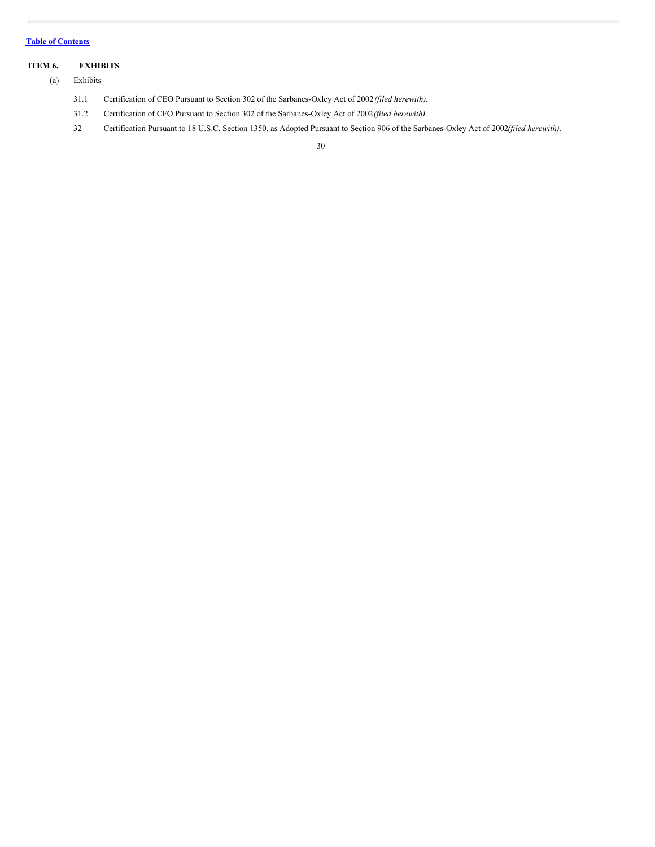# <span id="page-29-0"></span>**ITEM 6. EXHIBITS**

(a) Exhibits

- 31.1 Certification of CEO Pursuant to Section 302 of the Sarbanes-Oxley Act of 2002*(filed herewith).*
- 31.2 Certification of CFO Pursuant to Section 302 of the Sarbanes-Oxley Act of 2002*(filed herewith)*.
- 32 Certification Pursuant to 18 U.S.C. Section 1350, as Adopted Pursuant to Section 906 of the Sarbanes-Oxley Act of 2002*(filed herewith)*.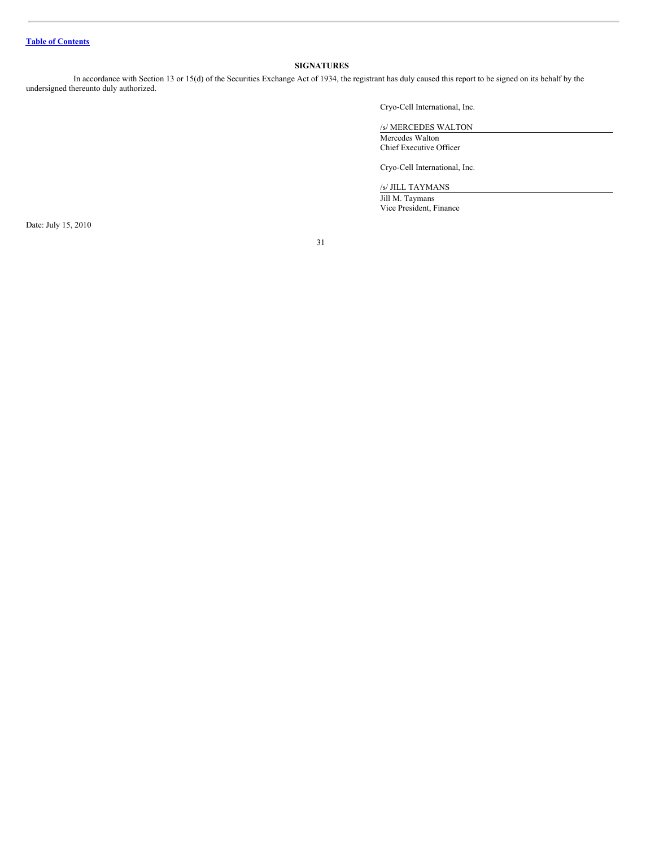# <span id="page-30-0"></span>**SIGNATURES**

In accordance with Section 13 or 15(d) of the Securities Exchange Act of 1934, the registrant has duly caused this report to be signed on its behalf by the undersigned thereunto duly authorized.

Cryo-Cell International, Inc.

/s/ MERCEDES WALTON

Mercedes Walton Chief Executive Officer

Cryo-Cell International, Inc.

/s/ JILL TAYMANS

Jill M. Taymans Vice President, Finance

Date: July 15, 2010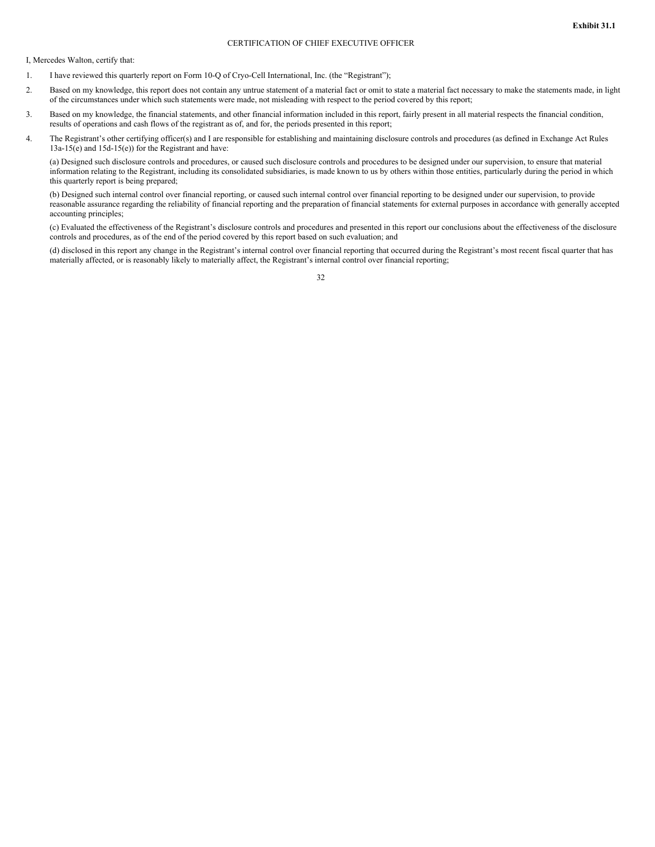# CERTIFICATION OF CHIEF EXECUTIVE OFFICER

I, Mercedes Walton, certify that:

- 1. I have reviewed this quarterly report on Form 10-Q of Cryo-Cell International, Inc. (the "Registrant");
- 2. Based on my knowledge, this report does not contain any untrue statement of a material fact or omit to state a material fact necessary to make the statements made, in light of the circumstances under which such statements were made, not misleading with respect to the period covered by this report;
- 3. Based on my knowledge, the financial statements, and other financial information included in this report, fairly present in all material respects the financial condition, results of operations and cash flows of the registrant as of, and for, the periods presented in this report;
- 4. The Registrant's other certifying officer(s) and I are responsible for establishing and maintaining disclosure controls and procedures (as defined in Exchange Act Rules 13a-15(e) and 15d-15(e)) for the Registrant and have:

(a) Designed such disclosure controls and procedures, or caused such disclosure controls and procedures to be designed under our supervision, to ensure that material information relating to the Registrant, including its consolidated subsidiaries, is made known to us by others within those entities, particularly during the period in which this quarterly report is being prepared;

(b) Designed such internal control over financial reporting, or caused such internal control over financial reporting to be designed under our supervision, to provide reasonable assurance regarding the reliability of financial reporting and the preparation of financial statements for external purposes in accordance with generally accepted accounting principles;

(c) Evaluated the effectiveness of the Registrant's disclosure controls and procedures and presented in this report our conclusions about the effectiveness of the disclosure controls and procedures, as of the end of the period covered by this report based on such evaluation; and

(d) disclosed in this report any change in the Registrant's internal control over financial reporting that occurred during the Registrant's most recent fiscal quarter that has materially affected, or is reasonably likely to materially affect, the Registrant's internal control over financial reporting;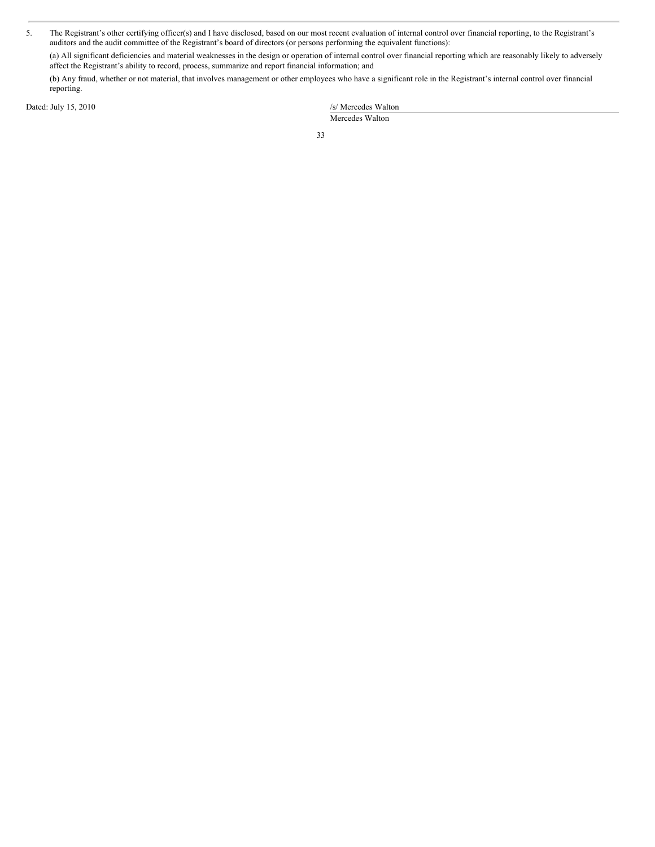5. The Registrant's other certifying officer(s) and I have disclosed, based on our most recent evaluation of internal control over financial reporting, to the Registrant's auditors and the audit committee of the Registrant's board of directors (or persons performing the equivalent functions):

(a) All significant deficiencies and material weaknesses in the design or operation of internal control over financial reporting which are reasonably likely to adversely affect the Registrant's ability to record, process, summarize and report financial information; and

(b) Any fraud, whether or not material, that involves management or other employees who have a significant role in the Registrant's internal control over financial reporting.

Dated: July 15, 2010

| /s/ Mercedes Walton |
|---------------------|
| Mercedes Walton     |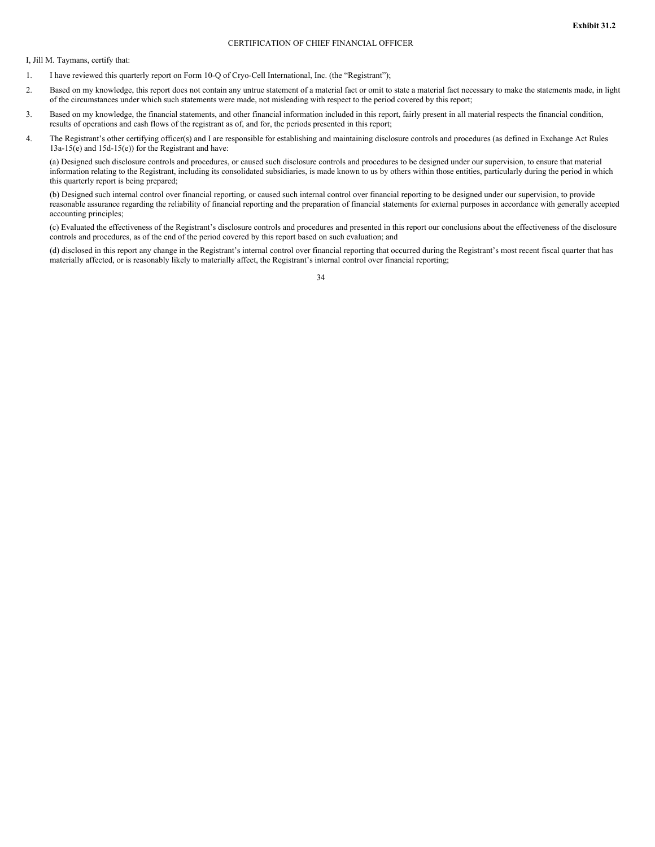#### CERTIFICATION OF CHIEF FINANCIAL OFFICER

I, Jill M. Taymans, certify that:

- 1. I have reviewed this quarterly report on Form 10-Q of Cryo-Cell International, Inc. (the "Registrant");
- 2. Based on my knowledge, this report does not contain any untrue statement of a material fact or omit to state a material fact necessary to make the statements made, in light of the circumstances under which such statements were made, not misleading with respect to the period covered by this report;
- 3. Based on my knowledge, the financial statements, and other financial information included in this report, fairly present in all material respects the financial condition, results of operations and cash flows of the registrant as of, and for, the periods presented in this report;
- 4. The Registrant's other certifying officer(s) and I are responsible for establishing and maintaining disclosure controls and procedures (as defined in Exchange Act Rules 13a-15(e) and 15d-15(e)) for the Registrant and have:

(a) Designed such disclosure controls and procedures, or caused such disclosure controls and procedures to be designed under our supervision, to ensure that material information relating to the Registrant, including its consolidated subsidiaries, is made known to us by others within those entities, particularly during the period in which this quarterly report is being prepared;

(b) Designed such internal control over financial reporting, or caused such internal control over financial reporting to be designed under our supervision, to provide reasonable assurance regarding the reliability of financial reporting and the preparation of financial statements for external purposes in accordance with generally accepted accounting principles;

(c) Evaluated the effectiveness of the Registrant's disclosure controls and procedures and presented in this report our conclusions about the effectiveness of the disclosure controls and procedures, as of the end of the period covered by this report based on such evaluation; and

(d) disclosed in this report any change in the Registrant's internal control over financial reporting that occurred during the Registrant's most recent fiscal quarter that has materially affected, or is reasonably likely to materially affect, the Registrant's internal control over financial reporting;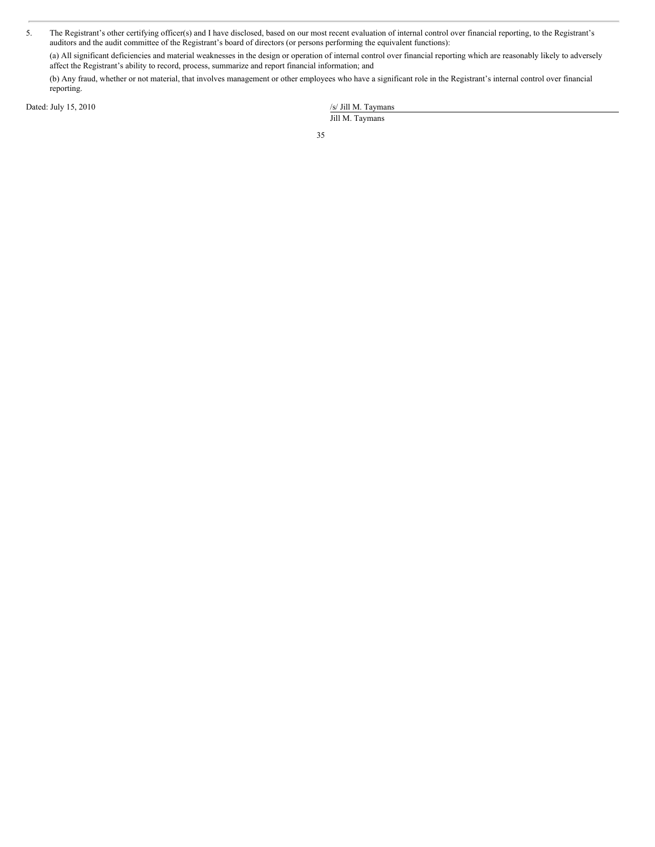5. The Registrant's other certifying officer(s) and I have disclosed, based on our most recent evaluation of internal control over financial reporting, to the Registrant's auditors and the audit committee of the Registrant's board of directors (or persons performing the equivalent functions):

(a) All significant deficiencies and material weaknesses in the design or operation of internal control over financial reporting which are reasonably likely to adversely affect the Registrant's ability to record, process, summarize and report financial information; and

(b) Any fraud, whether or not material, that involves management or other employees who have a significant role in the Registrant's internal control over financial reporting.

Dated: July 15, 2010

|                 |  |  | /s/ Jill M. Taymans |
|-----------------|--|--|---------------------|
| Jill M. Taymans |  |  |                     |